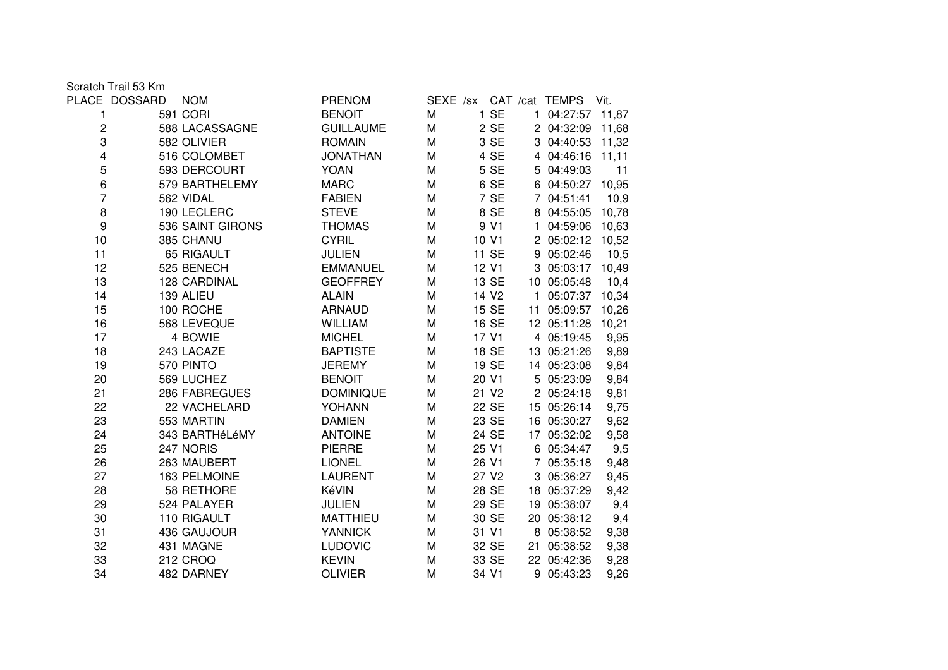Scratch Trail 53 Km

|                  | PLACE DOSSARD | <b>NOM</b>       | <b>PRENOM</b>    |   |                   | SEXE /sx CAT /cat TEMPS | Vit.  |  |
|------------------|---------------|------------------|------------------|---|-------------------|-------------------------|-------|--|
| 1                |               | 591 CORI         | <b>BENOIT</b>    | M | 1 SE              | 1 04:27:57              | 11,87 |  |
| $\boldsymbol{2}$ |               | 588 LACASSAGNE   | <b>GUILLAUME</b> | M | 2 SE              | 2 04:32:09              | 11,68 |  |
| 3                |               | 582 OLIVIER      | <b>ROMAIN</b>    | M | 3 SE              | 3 04:40:53              | 11,32 |  |
| 4                |               | 516 COLOMBET     | <b>JONATHAN</b>  | M | 4 SE              | 4 04:46:16              | 11,11 |  |
| 5                |               | 593 DERCOURT     | <b>YOAN</b>      | M | 5 SE              | 5 04:49:03              | 11    |  |
| 6                |               | 579 BARTHELEMY   | <b>MARC</b>      | M | 6 SE              | 6 04:50:27              | 10,95 |  |
| 7                |               | 562 VIDAL        | <b>FABIEN</b>    | M | 7 SE              | 7 04:51:41              | 10,9  |  |
| 8                |               | 190 LECLERC      | <b>STEVE</b>     | M | 8 SE              | 8 04:55:05              | 10,78 |  |
| 9                |               | 536 SAINT GIRONS | <b>THOMAS</b>    | M | 9 V1              | 1 04:59:06              | 10,63 |  |
| 10               |               | 385 CHANU        | <b>CYRIL</b>     | M | 10 V1             | 2 05:02:12              | 10,52 |  |
| 11               |               | 65 RIGAULT       | <b>JULIEN</b>    | M | 11 SE             | 9 05:02:46              | 10,5  |  |
| 12               |               | 525 BENECH       | <b>EMMANUEL</b>  | M | 12 V1             | 3 05:03:17              | 10,49 |  |
| 13               |               | 128 CARDINAL     | <b>GEOFFREY</b>  | M | 13 SE             | 10 05:05:48             | 10,4  |  |
| 14               |               | 139 ALIEU        | <b>ALAIN</b>     | M | 14 V <sub>2</sub> | 1 05:07:37              | 10,34 |  |
| 15               |               | 100 ROCHE        | <b>ARNAUD</b>    | M | 15 SE             | 11 05:09:57             | 10,26 |  |
| 16               |               | 568 LEVEQUE      | <b>WILLIAM</b>   | M | 16 SE             | 12 05:11:28             | 10,21 |  |
| 17               |               | 4 BOWIE          | <b>MICHEL</b>    | M | 17 V1             | 4 05:19:45              | 9,95  |  |
| 18               |               | 243 LACAZE       | <b>BAPTISTE</b>  | M | 18 SE             | 13 05:21:26             | 9,89  |  |
| 19               |               | 570 PINTO        | <b>JEREMY</b>    | M | 19 SE             | 14 05:23:08             | 9,84  |  |
| 20               |               | 569 LUCHEZ       | <b>BENOIT</b>    | M | 20 V1             | 5 05:23:09              | 9,84  |  |
| 21               |               | 286 FABREGUES    | <b>DOMINIQUE</b> | M | 21 V <sub>2</sub> | 2 05:24:18              | 9,81  |  |
| 22               |               | 22 VACHELARD     | YOHANN           | M | 22 SE             | 15 05:26:14             | 9,75  |  |
| 23               |               | 553 MARTIN       | <b>DAMIEN</b>    | M | 23 SE             | 16 05:30:27             | 9,62  |  |
| 24               |               | 343 BARTHéLéMY   | <b>ANTOINE</b>   | M | 24 SE             | 17 05:32:02             | 9,58  |  |
| 25               |               | 247 NORIS        | <b>PIERRE</b>    | M | 25 V1             | 6 05:34:47              | 9,5   |  |
| 26               |               | 263 MAUBERT      | <b>LIONEL</b>    | M | 26 V1             | 7 05:35:18              | 9,48  |  |
| 27               |               | 163 PELMOINE     | <b>LAURENT</b>   | M | 27 V <sub>2</sub> | 3 05:36:27              | 9,45  |  |
| 28               |               | 58 RETHORE       | KéVIN            | M | 28 SE             | 18 05:37:29             | 9,42  |  |
| 29               |               | 524 PALAYER      | <b>JULIEN</b>    | M | 29 SE             | 19 05:38:07             | 9,4   |  |
| 30               |               | 110 RIGAULT      | <b>MATTHIEU</b>  | M | 30 SE             | 20 05:38:12             | 9,4   |  |
| 31               |               | 436 GAUJOUR      | <b>YANNICK</b>   | M | 31 V1             | 8 05:38:52              | 9,38  |  |
| 32               |               | 431 MAGNE        | <b>LUDOVIC</b>   | M | 32 SE             | 21 05:38:52             | 9,38  |  |
| 33               |               | 212 CROQ         | <b>KEVIN</b>     | M | 33 SE             | 22 05:42:36             | 9,28  |  |
| 34               |               | 482 DARNEY       | <b>OLIVIER</b>   | M | 34 V1             | 9 05:43:23              | 9,26  |  |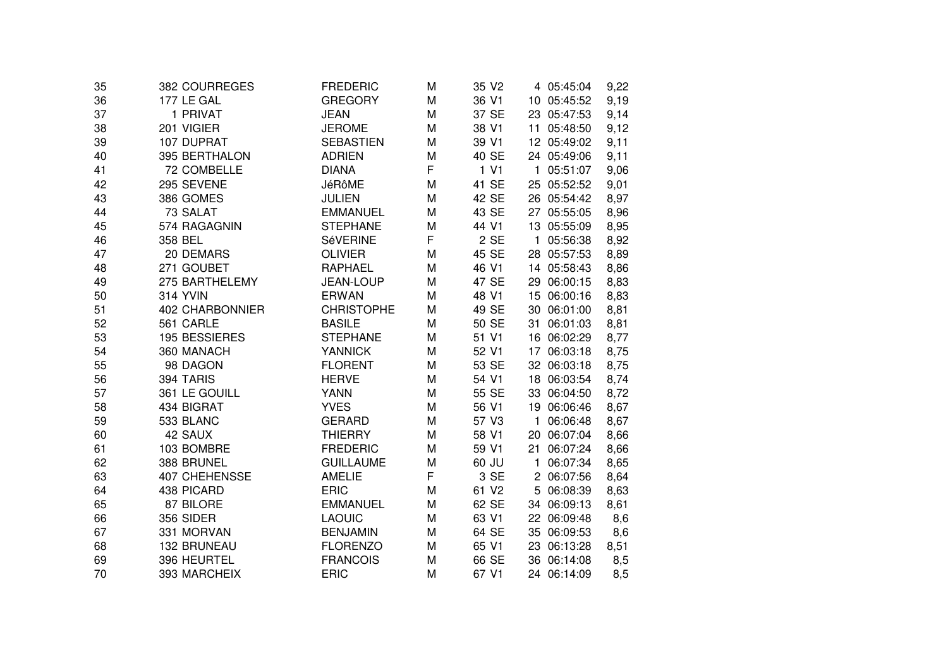| 35 | 382 COURREGES   | <b>FREDERIC</b>   | M  | 35 V <sub>2</sub> |              | 4 05:45:04  | 9,22 |
|----|-----------------|-------------------|----|-------------------|--------------|-------------|------|
| 36 | 177 LE GAL      | <b>GREGORY</b>    | M  | 36 V1             |              | 10 05:45:52 | 9,19 |
| 37 | 1 PRIVAT        | <b>JEAN</b>       | M  | 37 SE             |              | 23 05:47:53 | 9,14 |
| 38 | 201 VIGIER      | <b>JEROME</b>     | M  | 38 V1             |              | 11 05:48:50 | 9,12 |
| 39 | 107 DUPRAT      | <b>SEBASTIEN</b>  | M  | 39 V1             |              | 12 05:49:02 | 9,11 |
| 40 | 395 BERTHALON   | <b>ADRIEN</b>     | M  | 40 SE             |              | 24 05:49:06 | 9,11 |
| 41 | 72 COMBELLE     | <b>DIANA</b>      | F. | 1 <sub>V1</sub>   | $\mathbf{1}$ | 05:51:07    | 9,06 |
| 42 | 295 SEVENE      | <b>JéRôME</b>     | M  | 41 SE             |              | 25 05:52:52 | 9,01 |
| 43 | 386 GOMES       | <b>JULIEN</b>     | M  | 42 SE             |              | 26 05:54:42 | 8,97 |
| 44 | 73 SALAT        | <b>EMMANUEL</b>   | M  | 43 SE             |              | 27 05:55:05 | 8,96 |
| 45 | 574 RAGAGNIN    | <b>STEPHANE</b>   | M  | 44 V1             |              | 13 05:55:09 | 8,95 |
| 46 | 358 BEL         | SéVERINE          | F  | 2 SE              | $\mathbf{1}$ | 05:56:38    | 8,92 |
| 47 | 20 DEMARS       | <b>OLIVIER</b>    | M  | 45 SE             |              | 28 05:57:53 | 8,89 |
| 48 | 271 GOUBET      | <b>RAPHAEL</b>    | M  | 46 V1             |              | 14 05:58:43 | 8,86 |
| 49 | 275 BARTHELEMY  | <b>JEAN-LOUP</b>  | M  | 47 SE             |              | 29 06:00:15 | 8,83 |
| 50 | <b>314 YVIN</b> | <b>ERWAN</b>      | M  | 48 V1             |              | 15 06:00:16 | 8,83 |
| 51 | 402 CHARBONNIER | <b>CHRISTOPHE</b> | M  | 49 SE             |              | 30 06:01:00 | 8,81 |
| 52 | 561 CARLE       | <b>BASILE</b>     | M  | 50 SE             |              | 31 06:01:03 | 8,81 |
| 53 | 195 BESSIERES   | <b>STEPHANE</b>   | M  | 51 V1             |              | 16 06:02:29 | 8,77 |
| 54 | 360 MANACH      | <b>YANNICK</b>    | M  | 52 V1             |              | 17 06:03:18 | 8,75 |
| 55 | 98 DAGON        | <b>FLORENT</b>    | M  | 53 SE             |              | 32 06:03:18 | 8,75 |
| 56 | 394 TARIS       | <b>HERVE</b>      | M  | 54 V1             |              | 18 06:03:54 | 8,74 |
| 57 | 361 LE GOUILL   | <b>YANN</b>       | M  | 55 SE             |              | 33 06:04:50 | 8,72 |
| 58 | 434 BIGRAT      | <b>YVES</b>       | M  | 56 V1             |              | 19 06:06:46 | 8,67 |
| 59 | 533 BLANC       | <b>GERARD</b>     | M  | 57 V3             | $\mathbf{1}$ | 06:06:48    | 8,67 |
| 60 | 42 SAUX         | <b>THIERRY</b>    | M  | 58 V1             |              | 20 06:07:04 | 8,66 |
| 61 | 103 BOMBRE      | <b>FREDERIC</b>   | M  | 59 V1             |              | 21 06:07:24 | 8,66 |
| 62 | 388 BRUNEL      | <b>GUILLAUME</b>  | M  | 60 JU             |              | 1 06:07:34  | 8,65 |
| 63 | 407 CHEHENSSE   | <b>AMELIE</b>     | F  | 3 SE              |              | 2 06:07:56  | 8,64 |
| 64 | 438 PICARD      | <b>ERIC</b>       | M  | 61 V2             | 5            | 06:08:39    | 8,63 |
| 65 | 87 BILORE       | <b>EMMANUEL</b>   | M  | 62 SE             |              | 34 06:09:13 | 8,61 |
| 66 | 356 SIDER       | <b>LAOUIC</b>     | M  | 63 V1             |              | 22 06:09:48 | 8,6  |
| 67 | 331 MORVAN      | <b>BENJAMIN</b>   | M  | 64 SE             |              | 35 06:09:53 | 8,6  |
| 68 | 132 BRUNEAU     | <b>FLORENZO</b>   | M  | 65 V1             |              | 23 06:13:28 | 8,51 |
| 69 | 396 HEURTEL     | <b>FRANCOIS</b>   | M  | 66 SE             |              | 36 06:14:08 | 8,5  |
| 70 | 393 MARCHEIX    | <b>ERIC</b>       | M  | 67 V1             |              | 24 06:14:09 | 8,5  |
|    |                 |                   |    |                   |              |             |      |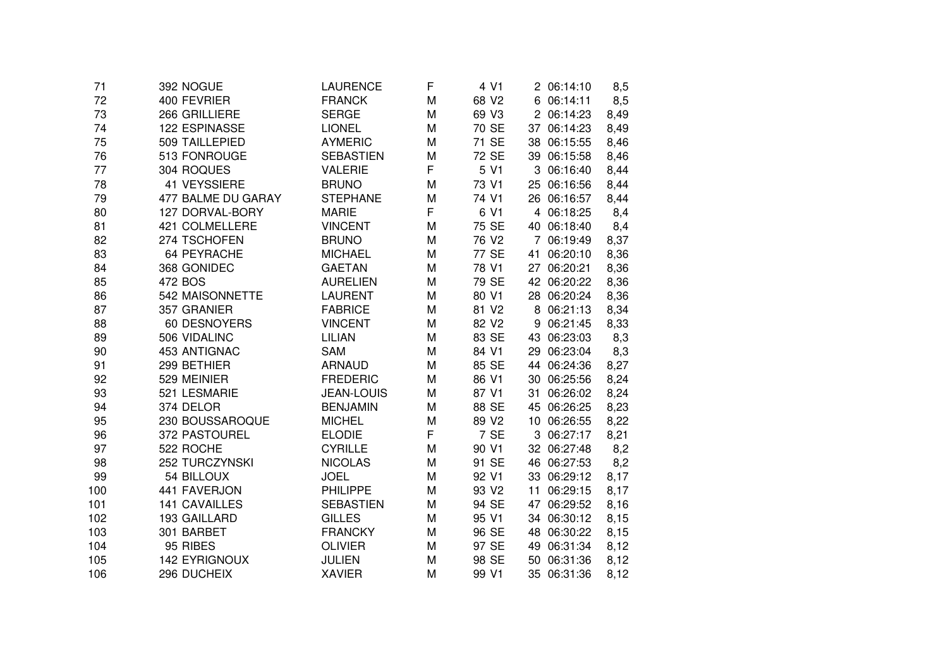| 72<br>400 FEVRIER<br>68 V2<br><b>FRANCK</b><br>M<br>6 06:14:11<br>8,5<br>73<br>266 GRILLIERE<br><b>SERGE</b><br>M<br>69 V3<br>2 06:14:23<br>8,49<br>122 ESPINASSE<br>70 SE<br><b>LIONEL</b><br>M<br>37 06:14:23<br>8,49<br>74<br>71 SE<br>509 TAILLEPIED<br>75<br><b>AYMERIC</b><br>M<br>38 06:15:55<br>8,46<br>72 SE<br>76<br>513 FONROUGE<br><b>SEBASTIEN</b><br>M<br>39 06:15:58<br>8,46<br>F<br>304 ROQUES<br><b>VALERIE</b><br>5 V1<br>3 06:16:40<br>77<br>8,44<br>41 VEYSSIERE<br>73 V1<br>78<br><b>BRUNO</b><br>M<br>25 06:16:56<br>8,44<br>79<br>477 BALME DU GARAY<br><b>STEPHANE</b><br>74 V1<br>26 06:16:57<br>M<br>8,44<br>F<br>6 V1<br>80<br>127 DORVAL-BORY<br><b>MARIE</b><br>4 06:18:25<br>8,4<br>81<br>421 COLMELLERE<br><b>VINCENT</b><br>75 SE<br>M<br>40 06:18:40<br>8,4<br>274 TSCHOFEN<br><b>BRUNO</b><br>82<br>M<br>76 V <sub>2</sub><br>7 06:19:49<br>8,37<br>83<br>64 PEYRACHE<br><b>MICHAEL</b><br>77 SE<br>8,36<br>M<br>41 06:20:10<br>84<br>368 GONIDEC<br><b>GAETAN</b><br>M<br>78 V1<br>27 06:20:21<br>8,36<br>8,36<br>85<br>472 BOS<br><b>AURELIEN</b><br>M<br>79 SE<br>42 06:20:22<br>542 MAISONNETTE<br>80 V1<br>28 06:20:24<br>8,36<br>86<br><b>LAURENT</b><br>M<br>81 V2<br>87<br>357 GRANIER<br><b>FABRICE</b><br>M<br>8 06:21:13<br>8,34<br>88<br>60 DESNOYERS<br>82 V <sub>2</sub><br>8,33<br><b>VINCENT</b><br>M<br>06:21:45<br>9<br>83 SE<br>89<br>506 VIDALINC<br><b>LILIAN</b><br>M<br>43 06:23:03<br>8,3<br>453 ANTIGNAC<br>84 V1<br>90<br><b>SAM</b><br>M<br>29<br>06:23:04<br>8,3<br>91<br>299 BETHIER<br><b>ARNAUD</b><br>M<br>85 SE<br>44 06:24:36<br>8,27<br>529 MEINIER<br><b>FREDERIC</b><br>86 V1<br>8,24<br>92<br>M<br>30 06:25:56<br>8,24<br>93<br>521 LESMARIE<br><b>JEAN-LOUIS</b><br>M<br>87 V1<br>31<br>06:26:02<br>374 DELOR<br><b>BENJAMIN</b><br>88 SE<br>8,23<br>94<br>M<br>45 06:26:25<br>230 BOUSSAROQUE<br><b>MICHEL</b><br>89 V <sub>2</sub><br>8,22<br>95<br>M<br>10 06:26:55<br>F<br>7 SE<br>96<br>372 PASTOUREL<br><b>ELODIE</b><br>3 06:27:17<br>8,21<br>522 ROCHE<br>97<br><b>CYRILLE</b><br>M<br>90 V1<br>32 06:27:48<br>8,2<br>252 TURCZYNSKI<br><b>NICOLAS</b><br>91 SE<br>98<br>M<br>46 06:27:53<br>8,2<br>99<br>54 BILLOUX<br><b>JOEL</b><br>M<br>92 V1<br>33 06:29:12<br>8,17<br>441 FAVERJON<br><b>PHILIPPE</b><br>93 V <sub>2</sub><br>8,17<br>100<br>M<br>11<br>06:29:15<br><b>141 CAVAILLES</b><br><b>SEBASTIEN</b><br>M<br>94 SE<br>47<br>06:29:52<br>101<br>8,16<br><b>GILLES</b><br>102<br>193 GAILLARD<br>M<br>95 V1<br>34 06:30:12<br>8,15<br>301 BARBET<br><b>FRANCKY</b><br>96 SE<br>103<br>M<br>48 06:30:22<br>8,15<br>95 RIBES<br><b>OLIVIER</b><br>97 SE<br>49 06:31:34<br>8,12<br>M<br><b>142 EYRIGNOUX</b><br><b>JULIEN</b><br>98 SE<br>50 06:31:36<br>M<br>8,12<br>296 DUCHEIX<br><b>XAVIER</b><br>99 V1<br>35 06:31:36<br>8,12<br>M | 71  | 392 NOGUE | LAURENCE | F | 4 V1 | 2 06:14:10 | 8,5 |
|-----------------------------------------------------------------------------------------------------------------------------------------------------------------------------------------------------------------------------------------------------------------------------------------------------------------------------------------------------------------------------------------------------------------------------------------------------------------------------------------------------------------------------------------------------------------------------------------------------------------------------------------------------------------------------------------------------------------------------------------------------------------------------------------------------------------------------------------------------------------------------------------------------------------------------------------------------------------------------------------------------------------------------------------------------------------------------------------------------------------------------------------------------------------------------------------------------------------------------------------------------------------------------------------------------------------------------------------------------------------------------------------------------------------------------------------------------------------------------------------------------------------------------------------------------------------------------------------------------------------------------------------------------------------------------------------------------------------------------------------------------------------------------------------------------------------------------------------------------------------------------------------------------------------------------------------------------------------------------------------------------------------------------------------------------------------------------------------------------------------------------------------------------------------------------------------------------------------------------------------------------------------------------------------------------------------------------------------------------------------------------------------------------------------------------------------------------------------------------------------------------------------------------------------------------------------------------------------------------------------------------------------------------------------------------------------------------------------------------------------------------------------------------------------------------------------------------------|-----|-----------|----------|---|------|------------|-----|
|                                                                                                                                                                                                                                                                                                                                                                                                                                                                                                                                                                                                                                                                                                                                                                                                                                                                                                                                                                                                                                                                                                                                                                                                                                                                                                                                                                                                                                                                                                                                                                                                                                                                                                                                                                                                                                                                                                                                                                                                                                                                                                                                                                                                                                                                                                                                                                                                                                                                                                                                                                                                                                                                                                                                                                                                                                   |     |           |          |   |      |            |     |
|                                                                                                                                                                                                                                                                                                                                                                                                                                                                                                                                                                                                                                                                                                                                                                                                                                                                                                                                                                                                                                                                                                                                                                                                                                                                                                                                                                                                                                                                                                                                                                                                                                                                                                                                                                                                                                                                                                                                                                                                                                                                                                                                                                                                                                                                                                                                                                                                                                                                                                                                                                                                                                                                                                                                                                                                                                   |     |           |          |   |      |            |     |
|                                                                                                                                                                                                                                                                                                                                                                                                                                                                                                                                                                                                                                                                                                                                                                                                                                                                                                                                                                                                                                                                                                                                                                                                                                                                                                                                                                                                                                                                                                                                                                                                                                                                                                                                                                                                                                                                                                                                                                                                                                                                                                                                                                                                                                                                                                                                                                                                                                                                                                                                                                                                                                                                                                                                                                                                                                   |     |           |          |   |      |            |     |
|                                                                                                                                                                                                                                                                                                                                                                                                                                                                                                                                                                                                                                                                                                                                                                                                                                                                                                                                                                                                                                                                                                                                                                                                                                                                                                                                                                                                                                                                                                                                                                                                                                                                                                                                                                                                                                                                                                                                                                                                                                                                                                                                                                                                                                                                                                                                                                                                                                                                                                                                                                                                                                                                                                                                                                                                                                   |     |           |          |   |      |            |     |
|                                                                                                                                                                                                                                                                                                                                                                                                                                                                                                                                                                                                                                                                                                                                                                                                                                                                                                                                                                                                                                                                                                                                                                                                                                                                                                                                                                                                                                                                                                                                                                                                                                                                                                                                                                                                                                                                                                                                                                                                                                                                                                                                                                                                                                                                                                                                                                                                                                                                                                                                                                                                                                                                                                                                                                                                                                   |     |           |          |   |      |            |     |
|                                                                                                                                                                                                                                                                                                                                                                                                                                                                                                                                                                                                                                                                                                                                                                                                                                                                                                                                                                                                                                                                                                                                                                                                                                                                                                                                                                                                                                                                                                                                                                                                                                                                                                                                                                                                                                                                                                                                                                                                                                                                                                                                                                                                                                                                                                                                                                                                                                                                                                                                                                                                                                                                                                                                                                                                                                   |     |           |          |   |      |            |     |
|                                                                                                                                                                                                                                                                                                                                                                                                                                                                                                                                                                                                                                                                                                                                                                                                                                                                                                                                                                                                                                                                                                                                                                                                                                                                                                                                                                                                                                                                                                                                                                                                                                                                                                                                                                                                                                                                                                                                                                                                                                                                                                                                                                                                                                                                                                                                                                                                                                                                                                                                                                                                                                                                                                                                                                                                                                   |     |           |          |   |      |            |     |
|                                                                                                                                                                                                                                                                                                                                                                                                                                                                                                                                                                                                                                                                                                                                                                                                                                                                                                                                                                                                                                                                                                                                                                                                                                                                                                                                                                                                                                                                                                                                                                                                                                                                                                                                                                                                                                                                                                                                                                                                                                                                                                                                                                                                                                                                                                                                                                                                                                                                                                                                                                                                                                                                                                                                                                                                                                   |     |           |          |   |      |            |     |
|                                                                                                                                                                                                                                                                                                                                                                                                                                                                                                                                                                                                                                                                                                                                                                                                                                                                                                                                                                                                                                                                                                                                                                                                                                                                                                                                                                                                                                                                                                                                                                                                                                                                                                                                                                                                                                                                                                                                                                                                                                                                                                                                                                                                                                                                                                                                                                                                                                                                                                                                                                                                                                                                                                                                                                                                                                   |     |           |          |   |      |            |     |
|                                                                                                                                                                                                                                                                                                                                                                                                                                                                                                                                                                                                                                                                                                                                                                                                                                                                                                                                                                                                                                                                                                                                                                                                                                                                                                                                                                                                                                                                                                                                                                                                                                                                                                                                                                                                                                                                                                                                                                                                                                                                                                                                                                                                                                                                                                                                                                                                                                                                                                                                                                                                                                                                                                                                                                                                                                   |     |           |          |   |      |            |     |
|                                                                                                                                                                                                                                                                                                                                                                                                                                                                                                                                                                                                                                                                                                                                                                                                                                                                                                                                                                                                                                                                                                                                                                                                                                                                                                                                                                                                                                                                                                                                                                                                                                                                                                                                                                                                                                                                                                                                                                                                                                                                                                                                                                                                                                                                                                                                                                                                                                                                                                                                                                                                                                                                                                                                                                                                                                   |     |           |          |   |      |            |     |
|                                                                                                                                                                                                                                                                                                                                                                                                                                                                                                                                                                                                                                                                                                                                                                                                                                                                                                                                                                                                                                                                                                                                                                                                                                                                                                                                                                                                                                                                                                                                                                                                                                                                                                                                                                                                                                                                                                                                                                                                                                                                                                                                                                                                                                                                                                                                                                                                                                                                                                                                                                                                                                                                                                                                                                                                                                   |     |           |          |   |      |            |     |
|                                                                                                                                                                                                                                                                                                                                                                                                                                                                                                                                                                                                                                                                                                                                                                                                                                                                                                                                                                                                                                                                                                                                                                                                                                                                                                                                                                                                                                                                                                                                                                                                                                                                                                                                                                                                                                                                                                                                                                                                                                                                                                                                                                                                                                                                                                                                                                                                                                                                                                                                                                                                                                                                                                                                                                                                                                   |     |           |          |   |      |            |     |
|                                                                                                                                                                                                                                                                                                                                                                                                                                                                                                                                                                                                                                                                                                                                                                                                                                                                                                                                                                                                                                                                                                                                                                                                                                                                                                                                                                                                                                                                                                                                                                                                                                                                                                                                                                                                                                                                                                                                                                                                                                                                                                                                                                                                                                                                                                                                                                                                                                                                                                                                                                                                                                                                                                                                                                                                                                   |     |           |          |   |      |            |     |
|                                                                                                                                                                                                                                                                                                                                                                                                                                                                                                                                                                                                                                                                                                                                                                                                                                                                                                                                                                                                                                                                                                                                                                                                                                                                                                                                                                                                                                                                                                                                                                                                                                                                                                                                                                                                                                                                                                                                                                                                                                                                                                                                                                                                                                                                                                                                                                                                                                                                                                                                                                                                                                                                                                                                                                                                                                   |     |           |          |   |      |            |     |
|                                                                                                                                                                                                                                                                                                                                                                                                                                                                                                                                                                                                                                                                                                                                                                                                                                                                                                                                                                                                                                                                                                                                                                                                                                                                                                                                                                                                                                                                                                                                                                                                                                                                                                                                                                                                                                                                                                                                                                                                                                                                                                                                                                                                                                                                                                                                                                                                                                                                                                                                                                                                                                                                                                                                                                                                                                   |     |           |          |   |      |            |     |
|                                                                                                                                                                                                                                                                                                                                                                                                                                                                                                                                                                                                                                                                                                                                                                                                                                                                                                                                                                                                                                                                                                                                                                                                                                                                                                                                                                                                                                                                                                                                                                                                                                                                                                                                                                                                                                                                                                                                                                                                                                                                                                                                                                                                                                                                                                                                                                                                                                                                                                                                                                                                                                                                                                                                                                                                                                   |     |           |          |   |      |            |     |
|                                                                                                                                                                                                                                                                                                                                                                                                                                                                                                                                                                                                                                                                                                                                                                                                                                                                                                                                                                                                                                                                                                                                                                                                                                                                                                                                                                                                                                                                                                                                                                                                                                                                                                                                                                                                                                                                                                                                                                                                                                                                                                                                                                                                                                                                                                                                                                                                                                                                                                                                                                                                                                                                                                                                                                                                                                   |     |           |          |   |      |            |     |
|                                                                                                                                                                                                                                                                                                                                                                                                                                                                                                                                                                                                                                                                                                                                                                                                                                                                                                                                                                                                                                                                                                                                                                                                                                                                                                                                                                                                                                                                                                                                                                                                                                                                                                                                                                                                                                                                                                                                                                                                                                                                                                                                                                                                                                                                                                                                                                                                                                                                                                                                                                                                                                                                                                                                                                                                                                   |     |           |          |   |      |            |     |
|                                                                                                                                                                                                                                                                                                                                                                                                                                                                                                                                                                                                                                                                                                                                                                                                                                                                                                                                                                                                                                                                                                                                                                                                                                                                                                                                                                                                                                                                                                                                                                                                                                                                                                                                                                                                                                                                                                                                                                                                                                                                                                                                                                                                                                                                                                                                                                                                                                                                                                                                                                                                                                                                                                                                                                                                                                   |     |           |          |   |      |            |     |
|                                                                                                                                                                                                                                                                                                                                                                                                                                                                                                                                                                                                                                                                                                                                                                                                                                                                                                                                                                                                                                                                                                                                                                                                                                                                                                                                                                                                                                                                                                                                                                                                                                                                                                                                                                                                                                                                                                                                                                                                                                                                                                                                                                                                                                                                                                                                                                                                                                                                                                                                                                                                                                                                                                                                                                                                                                   |     |           |          |   |      |            |     |
|                                                                                                                                                                                                                                                                                                                                                                                                                                                                                                                                                                                                                                                                                                                                                                                                                                                                                                                                                                                                                                                                                                                                                                                                                                                                                                                                                                                                                                                                                                                                                                                                                                                                                                                                                                                                                                                                                                                                                                                                                                                                                                                                                                                                                                                                                                                                                                                                                                                                                                                                                                                                                                                                                                                                                                                                                                   |     |           |          |   |      |            |     |
|                                                                                                                                                                                                                                                                                                                                                                                                                                                                                                                                                                                                                                                                                                                                                                                                                                                                                                                                                                                                                                                                                                                                                                                                                                                                                                                                                                                                                                                                                                                                                                                                                                                                                                                                                                                                                                                                                                                                                                                                                                                                                                                                                                                                                                                                                                                                                                                                                                                                                                                                                                                                                                                                                                                                                                                                                                   |     |           |          |   |      |            |     |
|                                                                                                                                                                                                                                                                                                                                                                                                                                                                                                                                                                                                                                                                                                                                                                                                                                                                                                                                                                                                                                                                                                                                                                                                                                                                                                                                                                                                                                                                                                                                                                                                                                                                                                                                                                                                                                                                                                                                                                                                                                                                                                                                                                                                                                                                                                                                                                                                                                                                                                                                                                                                                                                                                                                                                                                                                                   |     |           |          |   |      |            |     |
|                                                                                                                                                                                                                                                                                                                                                                                                                                                                                                                                                                                                                                                                                                                                                                                                                                                                                                                                                                                                                                                                                                                                                                                                                                                                                                                                                                                                                                                                                                                                                                                                                                                                                                                                                                                                                                                                                                                                                                                                                                                                                                                                                                                                                                                                                                                                                                                                                                                                                                                                                                                                                                                                                                                                                                                                                                   |     |           |          |   |      |            |     |
|                                                                                                                                                                                                                                                                                                                                                                                                                                                                                                                                                                                                                                                                                                                                                                                                                                                                                                                                                                                                                                                                                                                                                                                                                                                                                                                                                                                                                                                                                                                                                                                                                                                                                                                                                                                                                                                                                                                                                                                                                                                                                                                                                                                                                                                                                                                                                                                                                                                                                                                                                                                                                                                                                                                                                                                                                                   |     |           |          |   |      |            |     |
|                                                                                                                                                                                                                                                                                                                                                                                                                                                                                                                                                                                                                                                                                                                                                                                                                                                                                                                                                                                                                                                                                                                                                                                                                                                                                                                                                                                                                                                                                                                                                                                                                                                                                                                                                                                                                                                                                                                                                                                                                                                                                                                                                                                                                                                                                                                                                                                                                                                                                                                                                                                                                                                                                                                                                                                                                                   |     |           |          |   |      |            |     |
|                                                                                                                                                                                                                                                                                                                                                                                                                                                                                                                                                                                                                                                                                                                                                                                                                                                                                                                                                                                                                                                                                                                                                                                                                                                                                                                                                                                                                                                                                                                                                                                                                                                                                                                                                                                                                                                                                                                                                                                                                                                                                                                                                                                                                                                                                                                                                                                                                                                                                                                                                                                                                                                                                                                                                                                                                                   |     |           |          |   |      |            |     |
|                                                                                                                                                                                                                                                                                                                                                                                                                                                                                                                                                                                                                                                                                                                                                                                                                                                                                                                                                                                                                                                                                                                                                                                                                                                                                                                                                                                                                                                                                                                                                                                                                                                                                                                                                                                                                                                                                                                                                                                                                                                                                                                                                                                                                                                                                                                                                                                                                                                                                                                                                                                                                                                                                                                                                                                                                                   |     |           |          |   |      |            |     |
|                                                                                                                                                                                                                                                                                                                                                                                                                                                                                                                                                                                                                                                                                                                                                                                                                                                                                                                                                                                                                                                                                                                                                                                                                                                                                                                                                                                                                                                                                                                                                                                                                                                                                                                                                                                                                                                                                                                                                                                                                                                                                                                                                                                                                                                                                                                                                                                                                                                                                                                                                                                                                                                                                                                                                                                                                                   |     |           |          |   |      |            |     |
|                                                                                                                                                                                                                                                                                                                                                                                                                                                                                                                                                                                                                                                                                                                                                                                                                                                                                                                                                                                                                                                                                                                                                                                                                                                                                                                                                                                                                                                                                                                                                                                                                                                                                                                                                                                                                                                                                                                                                                                                                                                                                                                                                                                                                                                                                                                                                                                                                                                                                                                                                                                                                                                                                                                                                                                                                                   |     |           |          |   |      |            |     |
|                                                                                                                                                                                                                                                                                                                                                                                                                                                                                                                                                                                                                                                                                                                                                                                                                                                                                                                                                                                                                                                                                                                                                                                                                                                                                                                                                                                                                                                                                                                                                                                                                                                                                                                                                                                                                                                                                                                                                                                                                                                                                                                                                                                                                                                                                                                                                                                                                                                                                                                                                                                                                                                                                                                                                                                                                                   |     |           |          |   |      |            |     |
|                                                                                                                                                                                                                                                                                                                                                                                                                                                                                                                                                                                                                                                                                                                                                                                                                                                                                                                                                                                                                                                                                                                                                                                                                                                                                                                                                                                                                                                                                                                                                                                                                                                                                                                                                                                                                                                                                                                                                                                                                                                                                                                                                                                                                                                                                                                                                                                                                                                                                                                                                                                                                                                                                                                                                                                                                                   | 104 |           |          |   |      |            |     |
|                                                                                                                                                                                                                                                                                                                                                                                                                                                                                                                                                                                                                                                                                                                                                                                                                                                                                                                                                                                                                                                                                                                                                                                                                                                                                                                                                                                                                                                                                                                                                                                                                                                                                                                                                                                                                                                                                                                                                                                                                                                                                                                                                                                                                                                                                                                                                                                                                                                                                                                                                                                                                                                                                                                                                                                                                                   | 105 |           |          |   |      |            |     |
|                                                                                                                                                                                                                                                                                                                                                                                                                                                                                                                                                                                                                                                                                                                                                                                                                                                                                                                                                                                                                                                                                                                                                                                                                                                                                                                                                                                                                                                                                                                                                                                                                                                                                                                                                                                                                                                                                                                                                                                                                                                                                                                                                                                                                                                                                                                                                                                                                                                                                                                                                                                                                                                                                                                                                                                                                                   | 106 |           |          |   |      |            |     |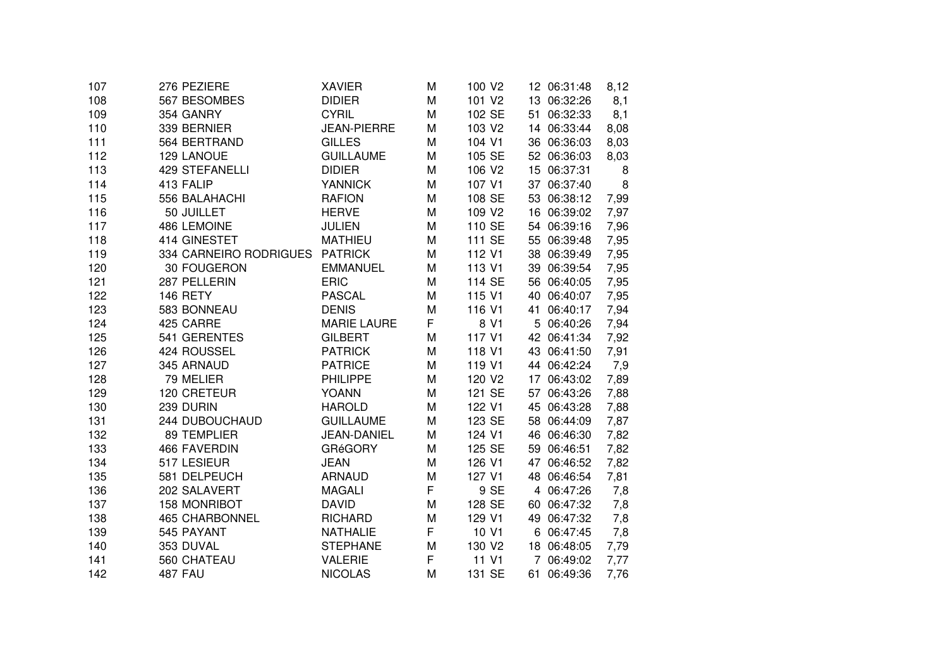| 107 | 276 PEZIERE            | XAVIER             | M | 100 V <sub>2</sub> | 12 06:31:48 | 8,12 |
|-----|------------------------|--------------------|---|--------------------|-------------|------|
| 108 | 567 BESOMBES           | <b>DIDIER</b>      | M | 101 V2             | 13 06:32:26 | 8,1  |
| 109 | 354 GANRY              | <b>CYRIL</b>       | M | 102 SE             | 51 06:32:33 | 8,1  |
| 110 | 339 BERNIER            | <b>JEAN-PIERRE</b> | M | 103 V2             | 14 06:33:44 | 8,08 |
| 111 | 564 BERTRAND           | <b>GILLES</b>      | M | 104 V1             | 36 06:36:03 | 8,03 |
| 112 | 129 LANOUE             | <b>GUILLAUME</b>   | M | 105 SE             | 52 06:36:03 | 8,03 |
| 113 | 429 STEFANELLI         | <b>DIDIER</b>      | M | 106 V2             | 15 06:37:31 | 8    |
| 114 | 413 FALIP              | <b>YANNICK</b>     | M | 107 V1             | 37 06:37:40 | 8    |
| 115 | 556 BALAHACHI          | <b>RAFION</b>      | M | 108 SE             | 53 06:38:12 | 7,99 |
| 116 | 50 JUILLET             | <b>HERVE</b>       | M | 109 V2             | 16 06:39:02 | 7,97 |
| 117 | 486 LEMOINE            | <b>JULIEN</b>      | M | 110 SE             | 54 06:39:16 | 7,96 |
| 118 | 414 GINESTET           | <b>MATHIEU</b>     | M | 111 SE             | 55 06:39:48 | 7,95 |
| 119 | 334 CARNEIRO RODRIGUES | <b>PATRICK</b>     | M | 112 V1             | 38 06:39:49 | 7,95 |
| 120 | 30 FOUGERON            | <b>EMMANUEL</b>    | M | 113 V1             | 39 06:39:54 | 7,95 |
| 121 | 287 PELLERIN           | <b>ERIC</b>        | M | 114 SE             | 56 06:40:05 | 7,95 |
| 122 | 146 RETY               | <b>PASCAL</b>      | M | 115 V1             | 40 06:40:07 | 7,95 |
| 123 | 583 BONNEAU            | <b>DENIS</b>       | M | 116 V1             | 41 06:40:17 | 7,94 |
| 124 | 425 CARRE              | <b>MARIE LAURE</b> | F | 8 V1               | 5 06:40:26  | 7,94 |
| 125 | 541 GERENTES           | <b>GILBERT</b>     | M | 117 V1             | 42 06:41:34 | 7,92 |
| 126 | 424 ROUSSEL            | <b>PATRICK</b>     | M | 118 V1             | 43 06:41:50 | 7,91 |
| 127 | 345 ARNAUD             | <b>PATRICE</b>     | M | 119 V1             | 44 06:42:24 | 7,9  |
| 128 | 79 MELIER              | <b>PHILIPPE</b>    | M | 120 V2             | 17 06:43:02 | 7,89 |
| 129 | 120 CRETEUR            | <b>YOANN</b>       | M | 121 SE             | 57 06:43:26 | 7,88 |
| 130 | 239 DURIN              | <b>HAROLD</b>      | M | 122 V1             | 45 06:43:28 | 7,88 |
| 131 | 244 DUBOUCHAUD         | <b>GUILLAUME</b>   | M | 123 SE             | 58 06:44:09 | 7,87 |
| 132 | 89 TEMPLIER            | <b>JEAN-DANIEL</b> | M | 124 V1             | 46 06:46:30 | 7,82 |
| 133 | <b>466 FAVERDIN</b>    | <b>GRéGORY</b>     | M | 125 SE             | 59 06:46:51 | 7,82 |
| 134 | 517 LESIEUR            | <b>JEAN</b>        | M | 126 V1             | 47 06:46:52 | 7,82 |
| 135 | 581 DELPEUCH           | <b>ARNAUD</b>      | M | 127 V1             | 48 06:46:54 | 7,81 |
| 136 | 202 SALAVERT           | <b>MAGALI</b>      | F | 9 SE               | 4 06:47:26  | 7,8  |
| 137 | <b>158 MONRIBOT</b>    | <b>DAVID</b>       | M | 128 SE             | 60 06:47:32 | 7,8  |
| 138 | <b>465 CHARBONNEL</b>  | <b>RICHARD</b>     | M | 129 V1             | 49 06:47:32 | 7,8  |
| 139 | 545 PAYANT             | <b>NATHALIE</b>    | F | 10 V1              | 6 06:47:45  | 7,8  |
| 140 | 353 DUVAL              | <b>STEPHANE</b>    | M | 130 V2             | 18 06:48:05 | 7,79 |
| 141 | 560 CHATEAU            | <b>VALERIE</b>     | F | 11 V1              | 7 06:49:02  | 7,77 |
| 142 | <b>487 FAU</b>         | <b>NICOLAS</b>     | M | 131 SE             | 61 06:49:36 | 7,76 |
|     |                        |                    |   |                    |             |      |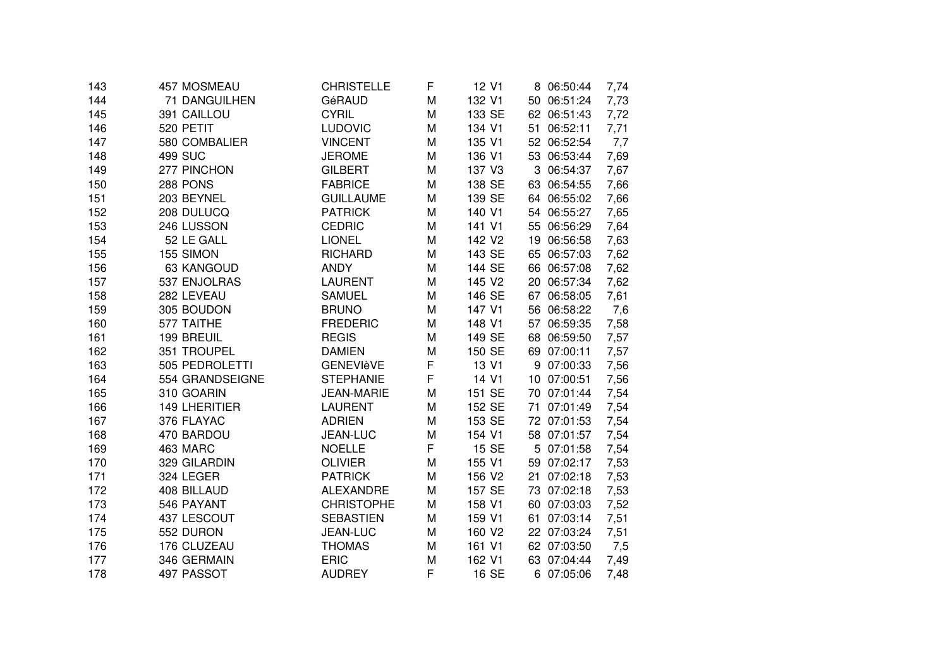| 143 | 457 MOSMEAU     | <b>CHRISTELLE</b> | F | 12 V1  | 8 06:50:44     | 7,74 |
|-----|-----------------|-------------------|---|--------|----------------|------|
| 144 | 71 DANGUILHEN   | GéRAUD            | M | 132 V1 | 50 06:51:24    | 7,73 |
| 145 | 391 CAILLOU     | <b>CYRIL</b>      | M | 133 SE | 62 06:51:43    | 7,72 |
| 146 | 520 PETIT       | <b>LUDOVIC</b>    | M | 134 V1 | 51 06:52:11    | 7,71 |
| 147 | 580 COMBALIER   | <b>VINCENT</b>    | M | 135 V1 | 52 06:52:54    | 7,7  |
| 148 | <b>499 SUC</b>  | <b>JEROME</b>     | M | 136 V1 | 53 06:53:44    | 7,69 |
| 149 | 277 PINCHON     | <b>GILBERT</b>    | M | 137 V3 | 3 06:54:37     | 7,67 |
| 150 | 288 PONS        | <b>FABRICE</b>    | M | 138 SE | 63 06:54:55    | 7,66 |
| 151 | 203 BEYNEL      | <b>GUILLAUME</b>  | M | 139 SE | 64 06:55:02    | 7,66 |
| 152 | 208 DULUCQ      | <b>PATRICK</b>    | M | 140 V1 | 54 06:55:27    | 7,65 |
| 153 | 246 LUSSON      | <b>CEDRIC</b>     | M | 141 V1 | 55 06:56:29    | 7,64 |
| 154 | 52 LE GALL      | <b>LIONEL</b>     | M | 142 V2 | 19 06:56:58    | 7,63 |
| 155 | 155 SIMON       | <b>RICHARD</b>    | M | 143 SE | 65 06:57:03    | 7,62 |
| 156 | 63 KANGOUD      | <b>ANDY</b>       | M | 144 SE | 66 06:57:08    | 7,62 |
| 157 | 537 ENJOLRAS    | <b>LAURENT</b>    | M | 145 V2 | 20 06:57:34    | 7,62 |
| 158 | 282 LEVEAU      | <b>SAMUEL</b>     | M | 146 SE | 67 06:58:05    | 7,61 |
| 159 | 305 BOUDON      | <b>BRUNO</b>      | M | 147 V1 | 56 06:58:22    | 7,6  |
| 160 | 577 TAITHE      | <b>FREDERIC</b>   | M | 148 V1 | 57<br>06:59:35 | 7,58 |
| 161 | 199 BREUIL      | <b>REGIS</b>      | M | 149 SE | 06:59:50<br>68 | 7,57 |
| 162 | 351 TROUPEL     | <b>DAMIEN</b>     | M | 150 SE | 69 07:00:11    | 7,57 |
| 163 | 505 PEDROLETTI  | <b>GENEVIèVE</b>  | F | 13 V1  | 9 07:00:33     | 7,56 |
| 164 | 554 GRANDSEIGNE | <b>STEPHANIE</b>  | F | 14 V1  | 10 07:00:51    | 7,56 |
| 165 | 310 GOARIN      | <b>JEAN-MARIE</b> | M | 151 SE | 70 07:01:44    | 7,54 |
| 166 | 149 LHERITIER   | <b>LAURENT</b>    | M | 152 SE | 07:01:49<br>71 | 7,54 |
| 167 | 376 FLAYAC      | <b>ADRIEN</b>     | M | 153 SE | 72 07:01:53    | 7,54 |
| 168 | 470 BARDOU      | JEAN-LUC          | M | 154 V1 | 58 07:01:57    | 7,54 |
| 169 | 463 MARC        | <b>NOELLE</b>     | F | 15 SE  | 5 07:01:58     | 7,54 |
| 170 | 329 GILARDIN    | <b>OLIVIER</b>    | M | 155 V1 | 59 07:02:17    | 7,53 |
| 171 | 324 LEGER       | <b>PATRICK</b>    | M | 156 V2 | 21 07:02:18    | 7,53 |
| 172 | 408 BILLAUD     | <b>ALEXANDRE</b>  | M | 157 SE | 73 07:02:18    | 7,53 |
| 173 | 546 PAYANT      | <b>CHRISTOPHE</b> | M | 158 V1 | 60 07:03:03    | 7,52 |
| 174 | 437 LESCOUT     | <b>SEBASTIEN</b>  | M | 159 V1 | 07:03:14<br>61 | 7,51 |
| 175 | 552 DURON       | JEAN-LUC          | M | 160 V2 | 22 07:03:24    | 7,51 |
| 176 | 176 CLUZEAU     | <b>THOMAS</b>     | M | 161 V1 | 62 07:03:50    | 7,5  |
| 177 | 346 GERMAIN     | <b>ERIC</b>       | M | 162 V1 | 63 07:04:44    | 7,49 |
| 178 | 497 PASSOT      | <b>AUDREY</b>     | F | 16 SE  | 6 07:05:06     | 7,48 |
|     |                 |                   |   |        |                |      |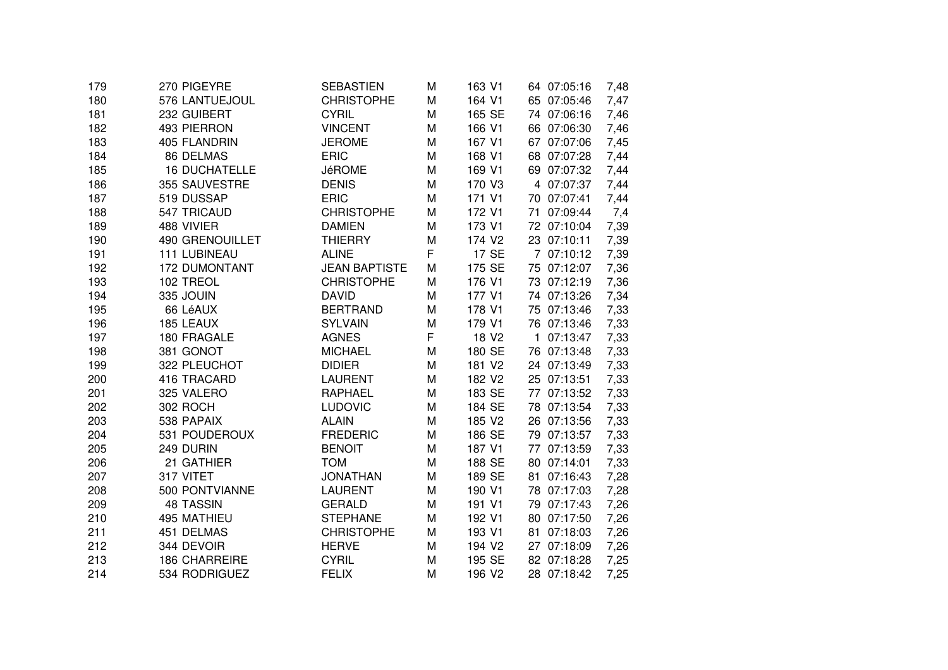| 179 | 270 PIGEYRE            | <b>SEBASTIEN</b>     | M | 163 V1             | 64 07:05:16 | 7,48 |
|-----|------------------------|----------------------|---|--------------------|-------------|------|
| 180 | 576 LANTUEJOUL         | <b>CHRISTOPHE</b>    | M | 164 V1             | 65 07:05:46 | 7,47 |
| 181 | 232 GUIBERT            | <b>CYRIL</b>         | M | 165 SE             | 74 07:06:16 | 7,46 |
| 182 | 493 PIERRON            | <b>VINCENT</b>       | M | 166 V1             | 66 07:06:30 | 7,46 |
| 183 | 405 FLANDRIN           | <b>JEROME</b>        | M | 167 V1             | 67 07:07:06 | 7,45 |
| 184 | 86 DELMAS              | <b>ERIC</b>          | M | 168 V1             | 68 07:07:28 | 7,44 |
| 185 | <b>16 DUCHATELLE</b>   | <b>JéROME</b>        | M | 169 V1             | 69 07:07:32 | 7,44 |
| 186 | 355 SAUVESTRE          | <b>DENIS</b>         | M | 170 V3             | 4 07:07:37  | 7,44 |
| 187 | 519 DUSSAP             | <b>ERIC</b>          | M | 171 V1             | 70 07:07:41 | 7,44 |
| 188 | 547 TRICAUD            | <b>CHRISTOPHE</b>    | M | 172 V1             | 71 07:09:44 | 7,4  |
| 189 | 488 VIVIER             | <b>DAMIEN</b>        | M | 173 V1             | 72 07:10:04 | 7,39 |
| 190 | <b>490 GRENOUILLET</b> | <b>THIERRY</b>       | M | 174 V <sub>2</sub> | 23 07:10:11 | 7,39 |
| 191 | <b>111 LUBINEAU</b>    | <b>ALINE</b>         | F | 17 SE              | 7 07:10:12  | 7,39 |
| 192 | <b>172 DUMONTANT</b>   | <b>JEAN BAPTISTE</b> | M | 175 SE             | 75 07:12:07 | 7,36 |
| 193 | 102 TREOL              | <b>CHRISTOPHE</b>    | M | 176 V1             | 73 07:12:19 | 7,36 |
| 194 | 335 JOUIN              | <b>DAVID</b>         | M | 177 V1             | 74 07:13:26 | 7,34 |
| 195 | 66 LéAUX               | <b>BERTRAND</b>      | M | 178 V1             | 75 07:13:46 | 7,33 |
| 196 | 185 LEAUX              | <b>SYLVAIN</b>       | M | 179 V1             | 76 07:13:46 | 7,33 |
| 197 | 180 FRAGALE            | <b>AGNES</b>         | F | 18 V <sub>2</sub>  | 1 07:13:47  | 7,33 |
| 198 | 381 GONOT              | <b>MICHAEL</b>       | M | 180 SE             | 76 07:13:48 | 7,33 |
| 199 | 322 PLEUCHOT           | <b>DIDIER</b>        | M | 181 V2             | 24 07:13:49 | 7,33 |
| 200 | 416 TRACARD            | <b>LAURENT</b>       | M | 182 V <sub>2</sub> | 25 07:13:51 | 7,33 |
| 201 | 325 VALERO             | <b>RAPHAEL</b>       | M | 183 SE             | 77 07:13:52 | 7,33 |
| 202 | 302 ROCH               | LUDOVIC              | M | 184 SE             | 78 07:13:54 | 7,33 |
| 203 | 538 PAPAIX             | <b>ALAIN</b>         | M | 185 V2             | 26 07:13:56 | 7,33 |
| 204 | 531 POUDEROUX          | <b>FREDERIC</b>      | M | 186 SE             | 79 07:13:57 | 7,33 |
| 205 | 249 DURIN              | <b>BENOIT</b>        | M | 187 V1             | 77 07:13:59 | 7,33 |
| 206 | 21 GATHIER             | <b>TOM</b>           | M | 188 SE             | 80 07:14:01 | 7,33 |
| 207 | 317 VITET              | <b>JONATHAN</b>      | M | 189 SE             | 81 07:16:43 | 7,28 |
| 208 | 500 PONTVIANNE         | <b>LAURENT</b>       | M | 190 V1             | 78 07:17:03 | 7,28 |
| 209 | <b>48 TASSIN</b>       | <b>GERALD</b>        | M | 191 V1             | 79 07:17:43 | 7,26 |
| 210 | 495 MATHIEU            | <b>STEPHANE</b>      | M | 192 V1             | 80 07:17:50 | 7,26 |
| 211 | 451 DELMAS             | <b>CHRISTOPHE</b>    | M | 193 V1             | 81 07:18:03 | 7,26 |
| 212 | 344 DEVOIR             | <b>HERVE</b>         | M | 194 V <sub>2</sub> | 27 07:18:09 | 7,26 |
| 213 | <b>186 CHARREIRE</b>   | <b>CYRIL</b>         | M | 195 SE             | 82 07:18:28 | 7,25 |
| 214 | 534 RODRIGUEZ          | <b>FELIX</b>         | M | 196 V <sub>2</sub> | 28 07:18:42 | 7,25 |
|     |                        |                      |   |                    |             |      |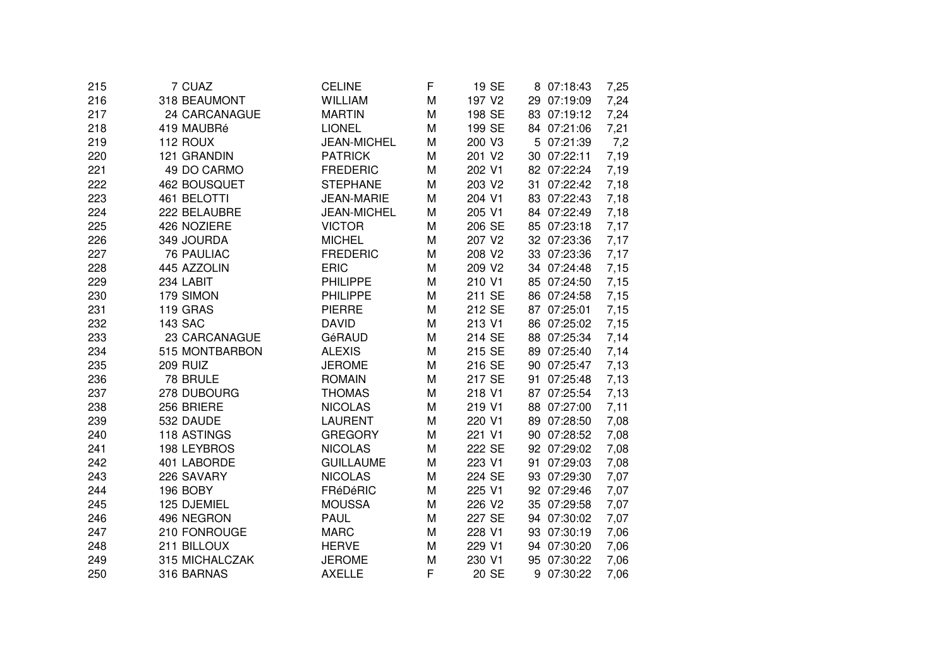| 216<br>318 BEAUMONT<br><b>WILLIAM</b><br>197 V2<br>29 07:19:09<br>M<br>24 CARCANAGUE<br>198 SE<br>217<br><b>MARTIN</b><br>M<br>83 07:19:12<br>199 SE<br>218<br>419 MAUBRé<br><b>LIONEL</b><br>84 07:21:06<br>M<br>219<br>112 ROUX<br><b>JEAN-MICHEL</b><br>200 V3<br>5 07:21:39<br>M<br>220<br>121 GRANDIN<br>201 V2<br><b>PATRICK</b><br>30 07:22:11<br>M<br>221<br>49 DO CARMO<br><b>FREDERIC</b><br>202 V1<br>82 07:22:24<br>M<br>222<br>462 BOUSQUET<br><b>STEPHANE</b><br>203 V2<br>31 07:22:42<br>M<br>223<br>461 BELOTTI<br>JEAN-MARIE<br>204 V1<br>83 07:22:43<br>M<br>224<br>222 BELAUBRE<br>205 V1<br>84 07:22:49<br><b>JEAN-MICHEL</b><br>M<br>225<br>426 NOZIERE<br>206 SE<br><b>VICTOR</b><br>85 07:23:18<br>M<br>349 JOURDA<br>226<br><b>MICHEL</b><br>M<br>207 V2<br>32 07:23:36<br>227<br><b>76 PAULIAC</b><br><b>FREDERIC</b><br>208 V2<br>33 07:23:36<br>M<br>228<br>445 AZZOLIN<br><b>ERIC</b><br>209 V2<br>34 07:24:48<br>M<br>229<br>210 V1<br>234 LABIT<br><b>PHILIPPE</b><br>M<br>85 07:24:50<br>230<br>179 SIMON<br><b>PHILIPPE</b><br>211 SE<br>86 07:24:58<br>M<br>119 GRAS<br>212 SE<br>231<br><b>PIERRE</b><br>M<br>87 07:25:01<br>232<br><b>143 SAC</b><br>213 V1<br><b>DAVID</b><br>86 07:25:02<br>M<br>233<br>23 CARCANAGUE<br>214 SE<br>GéRAUD<br>M<br>88 07:25:34<br>234<br>215 SE<br>515 MONTBARBON<br><b>ALEXIS</b><br>89 07:25:40<br>M<br>235<br><b>209 RUIZ</b><br><b>JEROME</b><br>216 SE<br>90 07:25:47<br>M<br>236<br>78 BRULE<br><b>ROMAIN</b><br>217 SE<br>91 07:25:48<br>M<br>237<br>278 DUBOURG<br><b>THOMAS</b><br>M<br>218 V1<br>87 07:25:54<br>238<br>256 BRIERE<br>219 V1<br><b>NICOLAS</b><br>M<br>88 07:27:00<br>239<br>532 DAUDE<br><b>LAURENT</b><br>220 V1<br>89 07:28:50<br>M<br>240<br>118 ASTINGS<br><b>GREGORY</b><br>221 V1<br>90 07:28:52<br>M<br>241<br>198 LEYBROS<br><b>NICOLAS</b><br>222 SE<br>92 07:29:02<br>M<br>223 V1<br>242<br>401 LABORDE<br><b>GUILLAUME</b><br>91 07:29:03<br>M<br>243<br>226 SAVARY<br><b>NICOLAS</b><br>224 SE<br>M<br>93 07:29:30<br>244<br>196 BOBY<br>FRéDéRIC<br>225 V1<br>92 07:29:46<br>M<br>245<br>125 DJEMIEL<br><b>MOUSSA</b><br>226 V2<br>35 07:29:58<br>M<br>227 SE<br>246<br>496 NEGRON<br><b>PAUL</b><br>94 07:30:02<br>M<br>247<br>210 FONROUGE<br><b>MARC</b><br>228 V1<br>93 07:30:19<br>M<br>211 BILLOUX<br><b>HERVE</b><br>229 V1<br>248<br>94 07:30:20<br>M<br>249<br>315 MICHALCZAK<br><b>JEROME</b><br>230 V1<br>95 07:30:22<br>M<br>F<br>250<br>316 BARNAS<br><b>AXELLE</b><br>20 SE<br>9 07:30:22 | 215 | 7 CUAZ | <b>CELINE</b> | F | 19 SE | 8 07:18:43 | 7,25 |
|--------------------------------------------------------------------------------------------------------------------------------------------------------------------------------------------------------------------------------------------------------------------------------------------------------------------------------------------------------------------------------------------------------------------------------------------------------------------------------------------------------------------------------------------------------------------------------------------------------------------------------------------------------------------------------------------------------------------------------------------------------------------------------------------------------------------------------------------------------------------------------------------------------------------------------------------------------------------------------------------------------------------------------------------------------------------------------------------------------------------------------------------------------------------------------------------------------------------------------------------------------------------------------------------------------------------------------------------------------------------------------------------------------------------------------------------------------------------------------------------------------------------------------------------------------------------------------------------------------------------------------------------------------------------------------------------------------------------------------------------------------------------------------------------------------------------------------------------------------------------------------------------------------------------------------------------------------------------------------------------------------------------------------------------------------------------------------------------------------------------------------------------------------------------------------------------------------------------------------------------------------------------------------------------------------------------------------------------------------------------------------------------------------------------------------------------------------------------------------------------------------------------|-----|--------|---------------|---|-------|------------|------|
|                                                                                                                                                                                                                                                                                                                                                                                                                                                                                                                                                                                                                                                                                                                                                                                                                                                                                                                                                                                                                                                                                                                                                                                                                                                                                                                                                                                                                                                                                                                                                                                                                                                                                                                                                                                                                                                                                                                                                                                                                                                                                                                                                                                                                                                                                                                                                                                                                                                                                                                    |     |        |               |   |       |            | 7,24 |
|                                                                                                                                                                                                                                                                                                                                                                                                                                                                                                                                                                                                                                                                                                                                                                                                                                                                                                                                                                                                                                                                                                                                                                                                                                                                                                                                                                                                                                                                                                                                                                                                                                                                                                                                                                                                                                                                                                                                                                                                                                                                                                                                                                                                                                                                                                                                                                                                                                                                                                                    |     |        |               |   |       |            | 7,24 |
|                                                                                                                                                                                                                                                                                                                                                                                                                                                                                                                                                                                                                                                                                                                                                                                                                                                                                                                                                                                                                                                                                                                                                                                                                                                                                                                                                                                                                                                                                                                                                                                                                                                                                                                                                                                                                                                                                                                                                                                                                                                                                                                                                                                                                                                                                                                                                                                                                                                                                                                    |     |        |               |   |       |            | 7,21 |
|                                                                                                                                                                                                                                                                                                                                                                                                                                                                                                                                                                                                                                                                                                                                                                                                                                                                                                                                                                                                                                                                                                                                                                                                                                                                                                                                                                                                                                                                                                                                                                                                                                                                                                                                                                                                                                                                                                                                                                                                                                                                                                                                                                                                                                                                                                                                                                                                                                                                                                                    |     |        |               |   |       |            | 7,2  |
|                                                                                                                                                                                                                                                                                                                                                                                                                                                                                                                                                                                                                                                                                                                                                                                                                                                                                                                                                                                                                                                                                                                                                                                                                                                                                                                                                                                                                                                                                                                                                                                                                                                                                                                                                                                                                                                                                                                                                                                                                                                                                                                                                                                                                                                                                                                                                                                                                                                                                                                    |     |        |               |   |       |            | 7,19 |
|                                                                                                                                                                                                                                                                                                                                                                                                                                                                                                                                                                                                                                                                                                                                                                                                                                                                                                                                                                                                                                                                                                                                                                                                                                                                                                                                                                                                                                                                                                                                                                                                                                                                                                                                                                                                                                                                                                                                                                                                                                                                                                                                                                                                                                                                                                                                                                                                                                                                                                                    |     |        |               |   |       |            | 7,19 |
|                                                                                                                                                                                                                                                                                                                                                                                                                                                                                                                                                                                                                                                                                                                                                                                                                                                                                                                                                                                                                                                                                                                                                                                                                                                                                                                                                                                                                                                                                                                                                                                                                                                                                                                                                                                                                                                                                                                                                                                                                                                                                                                                                                                                                                                                                                                                                                                                                                                                                                                    |     |        |               |   |       |            | 7,18 |
|                                                                                                                                                                                                                                                                                                                                                                                                                                                                                                                                                                                                                                                                                                                                                                                                                                                                                                                                                                                                                                                                                                                                                                                                                                                                                                                                                                                                                                                                                                                                                                                                                                                                                                                                                                                                                                                                                                                                                                                                                                                                                                                                                                                                                                                                                                                                                                                                                                                                                                                    |     |        |               |   |       |            | 7,18 |
|                                                                                                                                                                                                                                                                                                                                                                                                                                                                                                                                                                                                                                                                                                                                                                                                                                                                                                                                                                                                                                                                                                                                                                                                                                                                                                                                                                                                                                                                                                                                                                                                                                                                                                                                                                                                                                                                                                                                                                                                                                                                                                                                                                                                                                                                                                                                                                                                                                                                                                                    |     |        |               |   |       |            | 7,18 |
|                                                                                                                                                                                                                                                                                                                                                                                                                                                                                                                                                                                                                                                                                                                                                                                                                                                                                                                                                                                                                                                                                                                                                                                                                                                                                                                                                                                                                                                                                                                                                                                                                                                                                                                                                                                                                                                                                                                                                                                                                                                                                                                                                                                                                                                                                                                                                                                                                                                                                                                    |     |        |               |   |       |            | 7,17 |
|                                                                                                                                                                                                                                                                                                                                                                                                                                                                                                                                                                                                                                                                                                                                                                                                                                                                                                                                                                                                                                                                                                                                                                                                                                                                                                                                                                                                                                                                                                                                                                                                                                                                                                                                                                                                                                                                                                                                                                                                                                                                                                                                                                                                                                                                                                                                                                                                                                                                                                                    |     |        |               |   |       |            | 7,17 |
|                                                                                                                                                                                                                                                                                                                                                                                                                                                                                                                                                                                                                                                                                                                                                                                                                                                                                                                                                                                                                                                                                                                                                                                                                                                                                                                                                                                                                                                                                                                                                                                                                                                                                                                                                                                                                                                                                                                                                                                                                                                                                                                                                                                                                                                                                                                                                                                                                                                                                                                    |     |        |               |   |       |            | 7,17 |
|                                                                                                                                                                                                                                                                                                                                                                                                                                                                                                                                                                                                                                                                                                                                                                                                                                                                                                                                                                                                                                                                                                                                                                                                                                                                                                                                                                                                                                                                                                                                                                                                                                                                                                                                                                                                                                                                                                                                                                                                                                                                                                                                                                                                                                                                                                                                                                                                                                                                                                                    |     |        |               |   |       |            | 7,15 |
|                                                                                                                                                                                                                                                                                                                                                                                                                                                                                                                                                                                                                                                                                                                                                                                                                                                                                                                                                                                                                                                                                                                                                                                                                                                                                                                                                                                                                                                                                                                                                                                                                                                                                                                                                                                                                                                                                                                                                                                                                                                                                                                                                                                                                                                                                                                                                                                                                                                                                                                    |     |        |               |   |       |            | 7,15 |
|                                                                                                                                                                                                                                                                                                                                                                                                                                                                                                                                                                                                                                                                                                                                                                                                                                                                                                                                                                                                                                                                                                                                                                                                                                                                                                                                                                                                                                                                                                                                                                                                                                                                                                                                                                                                                                                                                                                                                                                                                                                                                                                                                                                                                                                                                                                                                                                                                                                                                                                    |     |        |               |   |       |            | 7,15 |
|                                                                                                                                                                                                                                                                                                                                                                                                                                                                                                                                                                                                                                                                                                                                                                                                                                                                                                                                                                                                                                                                                                                                                                                                                                                                                                                                                                                                                                                                                                                                                                                                                                                                                                                                                                                                                                                                                                                                                                                                                                                                                                                                                                                                                                                                                                                                                                                                                                                                                                                    |     |        |               |   |       |            | 7,15 |
|                                                                                                                                                                                                                                                                                                                                                                                                                                                                                                                                                                                                                                                                                                                                                                                                                                                                                                                                                                                                                                                                                                                                                                                                                                                                                                                                                                                                                                                                                                                                                                                                                                                                                                                                                                                                                                                                                                                                                                                                                                                                                                                                                                                                                                                                                                                                                                                                                                                                                                                    |     |        |               |   |       |            | 7,15 |
|                                                                                                                                                                                                                                                                                                                                                                                                                                                                                                                                                                                                                                                                                                                                                                                                                                                                                                                                                                                                                                                                                                                                                                                                                                                                                                                                                                                                                                                                                                                                                                                                                                                                                                                                                                                                                                                                                                                                                                                                                                                                                                                                                                                                                                                                                                                                                                                                                                                                                                                    |     |        |               |   |       |            | 7,14 |
|                                                                                                                                                                                                                                                                                                                                                                                                                                                                                                                                                                                                                                                                                                                                                                                                                                                                                                                                                                                                                                                                                                                                                                                                                                                                                                                                                                                                                                                                                                                                                                                                                                                                                                                                                                                                                                                                                                                                                                                                                                                                                                                                                                                                                                                                                                                                                                                                                                                                                                                    |     |        |               |   |       |            | 7,14 |
|                                                                                                                                                                                                                                                                                                                                                                                                                                                                                                                                                                                                                                                                                                                                                                                                                                                                                                                                                                                                                                                                                                                                                                                                                                                                                                                                                                                                                                                                                                                                                                                                                                                                                                                                                                                                                                                                                                                                                                                                                                                                                                                                                                                                                                                                                                                                                                                                                                                                                                                    |     |        |               |   |       |            | 7,13 |
|                                                                                                                                                                                                                                                                                                                                                                                                                                                                                                                                                                                                                                                                                                                                                                                                                                                                                                                                                                                                                                                                                                                                                                                                                                                                                                                                                                                                                                                                                                                                                                                                                                                                                                                                                                                                                                                                                                                                                                                                                                                                                                                                                                                                                                                                                                                                                                                                                                                                                                                    |     |        |               |   |       |            | 7,13 |
|                                                                                                                                                                                                                                                                                                                                                                                                                                                                                                                                                                                                                                                                                                                                                                                                                                                                                                                                                                                                                                                                                                                                                                                                                                                                                                                                                                                                                                                                                                                                                                                                                                                                                                                                                                                                                                                                                                                                                                                                                                                                                                                                                                                                                                                                                                                                                                                                                                                                                                                    |     |        |               |   |       |            | 7,13 |
|                                                                                                                                                                                                                                                                                                                                                                                                                                                                                                                                                                                                                                                                                                                                                                                                                                                                                                                                                                                                                                                                                                                                                                                                                                                                                                                                                                                                                                                                                                                                                                                                                                                                                                                                                                                                                                                                                                                                                                                                                                                                                                                                                                                                                                                                                                                                                                                                                                                                                                                    |     |        |               |   |       |            | 7,11 |
|                                                                                                                                                                                                                                                                                                                                                                                                                                                                                                                                                                                                                                                                                                                                                                                                                                                                                                                                                                                                                                                                                                                                                                                                                                                                                                                                                                                                                                                                                                                                                                                                                                                                                                                                                                                                                                                                                                                                                                                                                                                                                                                                                                                                                                                                                                                                                                                                                                                                                                                    |     |        |               |   |       |            | 7,08 |
|                                                                                                                                                                                                                                                                                                                                                                                                                                                                                                                                                                                                                                                                                                                                                                                                                                                                                                                                                                                                                                                                                                                                                                                                                                                                                                                                                                                                                                                                                                                                                                                                                                                                                                                                                                                                                                                                                                                                                                                                                                                                                                                                                                                                                                                                                                                                                                                                                                                                                                                    |     |        |               |   |       |            | 7,08 |
|                                                                                                                                                                                                                                                                                                                                                                                                                                                                                                                                                                                                                                                                                                                                                                                                                                                                                                                                                                                                                                                                                                                                                                                                                                                                                                                                                                                                                                                                                                                                                                                                                                                                                                                                                                                                                                                                                                                                                                                                                                                                                                                                                                                                                                                                                                                                                                                                                                                                                                                    |     |        |               |   |       |            | 7,08 |
|                                                                                                                                                                                                                                                                                                                                                                                                                                                                                                                                                                                                                                                                                                                                                                                                                                                                                                                                                                                                                                                                                                                                                                                                                                                                                                                                                                                                                                                                                                                                                                                                                                                                                                                                                                                                                                                                                                                                                                                                                                                                                                                                                                                                                                                                                                                                                                                                                                                                                                                    |     |        |               |   |       |            | 7,08 |
|                                                                                                                                                                                                                                                                                                                                                                                                                                                                                                                                                                                                                                                                                                                                                                                                                                                                                                                                                                                                                                                                                                                                                                                                                                                                                                                                                                                                                                                                                                                                                                                                                                                                                                                                                                                                                                                                                                                                                                                                                                                                                                                                                                                                                                                                                                                                                                                                                                                                                                                    |     |        |               |   |       |            | 7,07 |
|                                                                                                                                                                                                                                                                                                                                                                                                                                                                                                                                                                                                                                                                                                                                                                                                                                                                                                                                                                                                                                                                                                                                                                                                                                                                                                                                                                                                                                                                                                                                                                                                                                                                                                                                                                                                                                                                                                                                                                                                                                                                                                                                                                                                                                                                                                                                                                                                                                                                                                                    |     |        |               |   |       |            | 7,07 |
|                                                                                                                                                                                                                                                                                                                                                                                                                                                                                                                                                                                                                                                                                                                                                                                                                                                                                                                                                                                                                                                                                                                                                                                                                                                                                                                                                                                                                                                                                                                                                                                                                                                                                                                                                                                                                                                                                                                                                                                                                                                                                                                                                                                                                                                                                                                                                                                                                                                                                                                    |     |        |               |   |       |            | 7,07 |
|                                                                                                                                                                                                                                                                                                                                                                                                                                                                                                                                                                                                                                                                                                                                                                                                                                                                                                                                                                                                                                                                                                                                                                                                                                                                                                                                                                                                                                                                                                                                                                                                                                                                                                                                                                                                                                                                                                                                                                                                                                                                                                                                                                                                                                                                                                                                                                                                                                                                                                                    |     |        |               |   |       |            | 7,07 |
|                                                                                                                                                                                                                                                                                                                                                                                                                                                                                                                                                                                                                                                                                                                                                                                                                                                                                                                                                                                                                                                                                                                                                                                                                                                                                                                                                                                                                                                                                                                                                                                                                                                                                                                                                                                                                                                                                                                                                                                                                                                                                                                                                                                                                                                                                                                                                                                                                                                                                                                    |     |        |               |   |       |            | 7,06 |
|                                                                                                                                                                                                                                                                                                                                                                                                                                                                                                                                                                                                                                                                                                                                                                                                                                                                                                                                                                                                                                                                                                                                                                                                                                                                                                                                                                                                                                                                                                                                                                                                                                                                                                                                                                                                                                                                                                                                                                                                                                                                                                                                                                                                                                                                                                                                                                                                                                                                                                                    |     |        |               |   |       |            | 7,06 |
|                                                                                                                                                                                                                                                                                                                                                                                                                                                                                                                                                                                                                                                                                                                                                                                                                                                                                                                                                                                                                                                                                                                                                                                                                                                                                                                                                                                                                                                                                                                                                                                                                                                                                                                                                                                                                                                                                                                                                                                                                                                                                                                                                                                                                                                                                                                                                                                                                                                                                                                    |     |        |               |   |       |            | 7,06 |
|                                                                                                                                                                                                                                                                                                                                                                                                                                                                                                                                                                                                                                                                                                                                                                                                                                                                                                                                                                                                                                                                                                                                                                                                                                                                                                                                                                                                                                                                                                                                                                                                                                                                                                                                                                                                                                                                                                                                                                                                                                                                                                                                                                                                                                                                                                                                                                                                                                                                                                                    |     |        |               |   |       |            | 7,06 |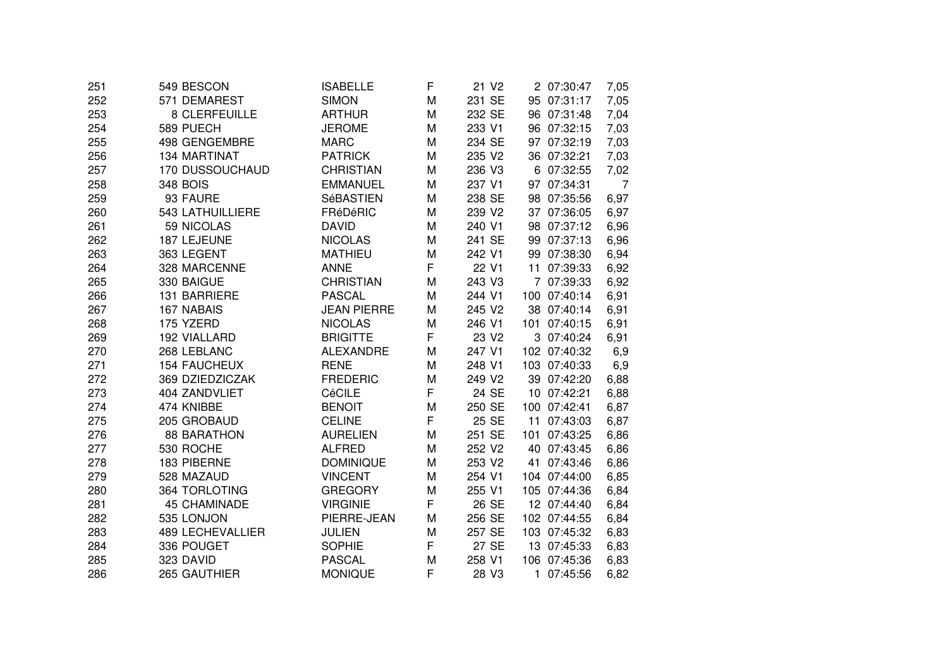| 251 | 549 BESCON              | <b>ISABELLE</b>    | F | 21 V2             | 2 07:30:47   | 7,05 |
|-----|-------------------------|--------------------|---|-------------------|--------------|------|
| 252 | 571 DEMAREST            | <b>SIMON</b>       | M | 231 SE            | 95 07:31:17  | 7,05 |
| 253 | 8 CLERFEUILLE           | <b>ARTHUR</b>      | M | 232 SE            | 96 07:31:48  | 7,04 |
| 254 | 589 PUECH               | <b>JEROME</b>      | M | 233 V1            | 96 07:32:15  | 7,03 |
| 255 | 498 GENGEMBRE           | <b>MARC</b>        | M | 234 SE            | 97 07:32:19  | 7,03 |
| 256 | 134 MARTINAT            | <b>PATRICK</b>     | M | 235 V2            | 36 07:32:21  | 7,03 |
| 257 | 170 DUSSOUCHAUD         | <b>CHRISTIAN</b>   | M | 236 V3            | 6 07:32:55   | 7,02 |
| 258 | <b>348 BOIS</b>         | <b>EMMANUEL</b>    | M | 237 V1            | 97 07:34:31  | 7    |
| 259 | 93 FAURE                | SéBASTIEN          | M | 238 SE            | 98 07:35:56  | 6,97 |
| 260 | 543 LATHUILLIERE        | FRéDéRIC           | M | 239 V2            | 37 07:36:05  | 6,97 |
| 261 | 59 NICOLAS              | <b>DAVID</b>       | M | 240 V1            | 98 07:37:12  | 6,96 |
| 262 | 187 LEJEUNE             | <b>NICOLAS</b>     | M | 241 SE            | 99 07:37:13  | 6,96 |
| 263 | 363 LEGENT              | <b>MATHIEU</b>     | M | 242 V1            | 99 07:38:30  | 6,94 |
| 264 | 328 MARCENNE            | <b>ANNE</b>        | F | 22 V1             | 11 07:39:33  | 6,92 |
| 265 | 330 BAIGUE              | <b>CHRISTIAN</b>   | M | 243 V3            | 7 07:39:33   | 6,92 |
| 266 | 131 BARRIERE            | <b>PASCAL</b>      | M | 244 V1            | 100 07:40:14 | 6,91 |
| 267 | 167 NABAIS              | <b>JEAN PIERRE</b> | M | 245 V2            | 38 07:40:14  | 6,91 |
| 268 | 175 YZERD               | <b>NICOLAS</b>     | M | 246 V1            | 101 07:40:15 | 6,91 |
| 269 | 192 VIALLARD            | <b>BRIGITTE</b>    | F | 23 V <sub>2</sub> | 3 07:40:24   | 6,91 |
| 270 | 268 LEBLANC             | <b>ALEXANDRE</b>   | M | 247 V1            | 102 07:40:32 | 6,9  |
| 271 | <b>154 FAUCHEUX</b>     | <b>RENE</b>        | M | 248 V1            | 103 07:40:33 | 6,9  |
| 272 | 369 DZIEDZICZAK         | <b>FREDERIC</b>    | M | 249 V2            | 39 07:42:20  | 6,88 |
| 273 | 404 ZANDVLIET           | CéCILE             | F | 24 SE             | 10 07:42:21  | 6,88 |
| 274 | 474 KNIBBE              | <b>BENOIT</b>      | M | 250 SE            | 100 07:42:41 | 6,87 |
| 275 | 205 GROBAUD             | <b>CELINE</b>      | F | 25 SE             | 11 07:43:03  | 6,87 |
| 276 | <b>88 BARATHON</b>      | <b>AURELIEN</b>    | M | 251 SE            | 101 07:43:25 | 6,86 |
| 277 | 530 ROCHE               | <b>ALFRED</b>      | M | 252 V2            | 40 07:43:45  | 6,86 |
| 278 | 183 PIBERNE             | <b>DOMINIQUE</b>   | M | 253 V2            | 41 07:43:46  | 6,86 |
| 279 | 528 MAZAUD              | <b>VINCENT</b>     | M | 254 V1            | 104 07:44:00 | 6,85 |
| 280 | 364 TORLOTING           | <b>GREGORY</b>     | M | 255 V1            | 105 07:44:36 | 6,84 |
| 281 | <b>45 CHAMINADE</b>     | <b>VIRGINIE</b>    | F | 26 SE             | 12 07:44:40  | 6,84 |
| 282 | 535 LONJON              | PIERRE-JEAN        | M | 256 SE            | 102 07:44:55 | 6,84 |
| 283 | <b>489 LECHEVALLIER</b> | <b>JULIEN</b>      | M | 257 SE            | 103 07:45:32 | 6,83 |
| 284 | 336 POUGET              | <b>SOPHIE</b>      | F | 27 SE             | 13 07:45:33  | 6,83 |
| 285 | 323 DAVID               | <b>PASCAL</b>      | M | 258 V1            | 106 07:45:36 | 6,83 |
| 286 | 265 GAUTHIER            | <b>MONIQUE</b>     | F | 28 V3             | 1 07:45:56   | 6,82 |
|     |                         |                    |   |                   |              |      |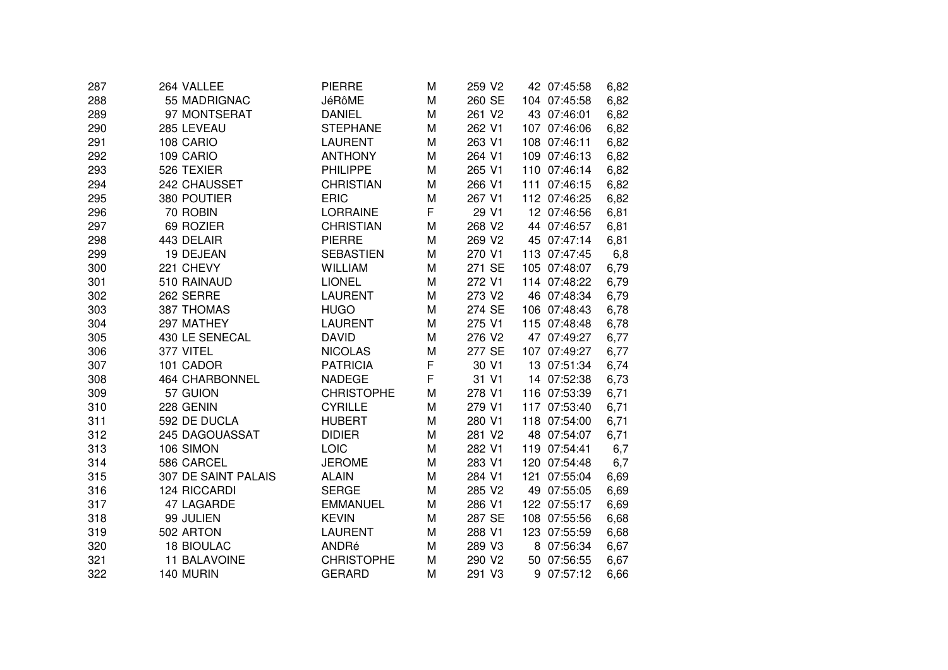| 287 | 264 VALLEE            | <b>PIERRE</b>     | M | 259 V2 | 42 07:45:58  |             | 6,82 |
|-----|-----------------------|-------------------|---|--------|--------------|-------------|------|
| 288 | 55 MADRIGNAC          | JéRôME            | M | 260 SE | 104 07:45:58 |             | 6,82 |
| 289 | 97 MONTSERAT          | <b>DANIEL</b>     | M | 261 V2 | 43 07:46:01  |             | 6,82 |
| 290 | 285 LEVEAU            | <b>STEPHANE</b>   | M | 262 V1 | 107 07:46:06 |             | 6,82 |
| 291 | 108 CARIO             | <b>LAURENT</b>    | M | 263 V1 | 108 07:46:11 |             | 6,82 |
| 292 | 109 CARIO             | <b>ANTHONY</b>    | M | 264 V1 | 109 07:46:13 |             | 6,82 |
| 293 | 526 TEXIER            | <b>PHILIPPE</b>   | M | 265 V1 | 110 07:46:14 |             | 6,82 |
| 294 | 242 CHAUSSET          | <b>CHRISTIAN</b>  | M | 266 V1 | 111 07:46:15 |             | 6,82 |
| 295 | 380 POUTIER           | <b>ERIC</b>       | M | 267 V1 | 112 07:46:25 |             | 6,82 |
| 296 | 70 ROBIN              | <b>LORRAINE</b>   | F | 29 V1  | 12 07:46:56  |             | 6,81 |
| 297 | 69 ROZIER             | <b>CHRISTIAN</b>  | M | 268 V2 |              | 44 07:46:57 | 6,81 |
| 298 | 443 DELAIR            | <b>PIERRE</b>     | M | 269 V2 | 45 07:47:14  |             | 6,81 |
| 299 | 19 DEJEAN             | <b>SEBASTIEN</b>  | M | 270 V1 | 113 07:47:45 |             | 6,8  |
| 300 | 221 CHEVY             | WILLIAM           | M | 271 SE | 105 07:48:07 |             | 6,79 |
| 301 | 510 RAINAUD           | <b>LIONEL</b>     | M | 272 V1 | 114 07:48:22 |             | 6,79 |
| 302 | 262 SERRE             | <b>LAURENT</b>    | M | 273 V2 | 46 07:48:34  |             | 6,79 |
| 303 | 387 THOMAS            | <b>HUGO</b>       | M | 274 SE | 106 07:48:43 |             | 6,78 |
| 304 | 297 MATHEY            | <b>LAURENT</b>    | M | 275 V1 | 115 07:48:48 |             | 6,78 |
| 305 | 430 LE SENECAL        | <b>DAVID</b>      | M | 276 V2 | 47 07:49:27  |             | 6,77 |
| 306 | 377 VITEL             | <b>NICOLAS</b>    | M | 277 SE | 107 07:49:27 |             | 6,77 |
| 307 | 101 CADOR             | <b>PATRICIA</b>   | F | 30 V1  | 13 07:51:34  |             | 6,74 |
| 308 | <b>464 CHARBONNEL</b> | <b>NADEGE</b>     | F | 31 V1  | 14 07:52:38  |             | 6,73 |
| 309 | 57 GUION              | <b>CHRISTOPHE</b> | M | 278 V1 | 116 07:53:39 |             | 6,71 |
| 310 | 228 GENIN             | <b>CYRILLE</b>    | M | 279 V1 | 117 07:53:40 |             | 6,71 |
| 311 | 592 DE DUCLA          | <b>HUBERT</b>     | M | 280 V1 | 118 07:54:00 |             | 6,71 |
| 312 | 245 DAGOUASSAT        | <b>DIDIER</b>     | M | 281 V2 | 48 07:54:07  |             | 6,71 |
| 313 | 106 SIMON             | LOIC              | M | 282 V1 | 119 07:54:41 |             | 6,7  |
| 314 | 586 CARCEL            | <b>JEROME</b>     | M | 283 V1 | 120 07:54:48 |             | 6,7  |
| 315 | 307 DE SAINT PALAIS   | <b>ALAIN</b>      | M | 284 V1 | 121 07:55:04 |             | 6,69 |
| 316 | 124 RICCARDI          | <b>SERGE</b>      | M | 285 V2 | 49 07:55:05  |             | 6,69 |
| 317 | 47 LAGARDE            | <b>EMMANUEL</b>   | M | 286 V1 | 122 07:55:17 |             | 6,69 |
| 318 | 99 JULIEN             | <b>KEVIN</b>      | M | 287 SE | 108 07:55:56 |             | 6,68 |
| 319 | 502 ARTON             | <b>LAURENT</b>    | M | 288 V1 | 123 07:55:59 |             | 6,68 |
| 320 | <b>18 BIOULAC</b>     | ANDRé             | M | 289 V3 |              | 8 07:56:34  | 6,67 |
| 321 | 11 BALAVOINE          | <b>CHRISTOPHE</b> | M | 290 V2 | 50 07:56:55  |             | 6,67 |
| 322 | 140 MURIN             | <b>GERARD</b>     | M | 291 V3 |              | 9 07:57:12  | 6,66 |
|     |                       |                   |   |        |              |             |      |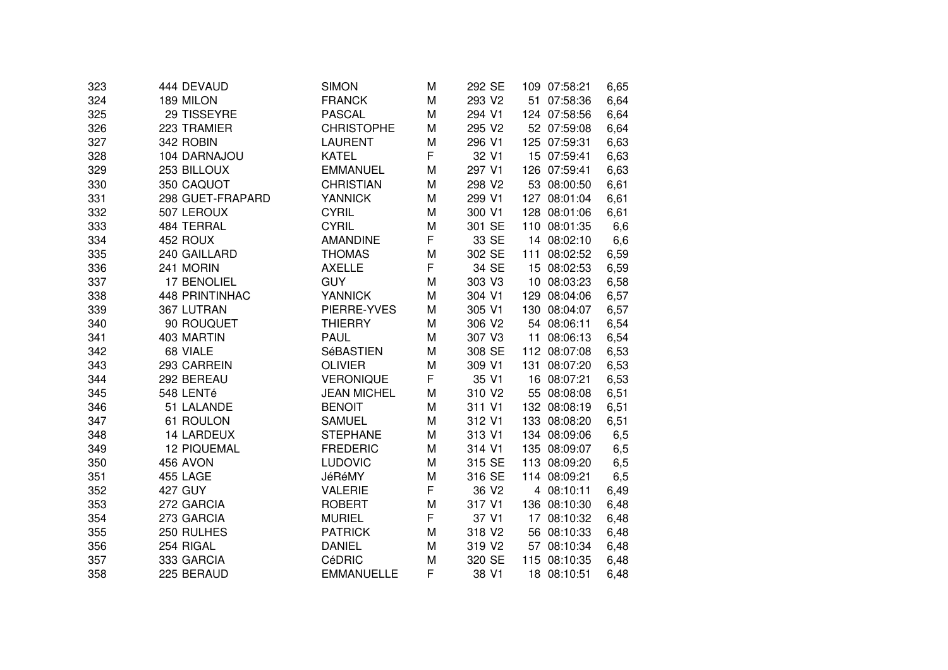| 444 DEVAUD            | <b>SIMON</b>                                                                                                                                                  | M                                                                                                                           | 292 SE                     | 109 07:58:21                                                                                     | 6,65                                                                                                      |
|-----------------------|---------------------------------------------------------------------------------------------------------------------------------------------------------------|-----------------------------------------------------------------------------------------------------------------------------|----------------------------|--------------------------------------------------------------------------------------------------|-----------------------------------------------------------------------------------------------------------|
| 189 MILON             | <b>FRANCK</b>                                                                                                                                                 | M                                                                                                                           | 293 V2                     | 51 07:58:36                                                                                      | 6,64                                                                                                      |
| 29 TISSEYRE           | <b>PASCAL</b>                                                                                                                                                 | M                                                                                                                           | 294 V1                     | 124 07:58:56                                                                                     | 6,64                                                                                                      |
| 223 TRAMIER           | <b>CHRISTOPHE</b>                                                                                                                                             | M                                                                                                                           | 295 V2                     | 52 07:59:08                                                                                      | 6,64                                                                                                      |
| 342 ROBIN             | <b>LAURENT</b>                                                                                                                                                | M                                                                                                                           | 296 V1                     | 125 07:59:31                                                                                     | 6,63                                                                                                      |
| 104 DARNAJOU          | <b>KATEL</b>                                                                                                                                                  |                                                                                                                             | 32 V1                      | 15 07:59:41                                                                                      | 6,63                                                                                                      |
| 253 BILLOUX           | <b>EMMANUEL</b>                                                                                                                                               | M                                                                                                                           | 297 V1                     | 126 07:59:41                                                                                     | 6,63                                                                                                      |
| 350 CAQUOT            | <b>CHRISTIAN</b>                                                                                                                                              | M                                                                                                                           | 298 V2                     | 53 08:00:50                                                                                      | 6,61                                                                                                      |
| 298 GUET-FRAPARD      | <b>YANNICK</b>                                                                                                                                                | M                                                                                                                           | 299 V1                     | 127 08:01:04                                                                                     | 6,61                                                                                                      |
| 507 LEROUX            | <b>CYRIL</b>                                                                                                                                                  | м                                                                                                                           | 300 V1                     | 128 08:01:06                                                                                     | 6,61                                                                                                      |
| 484 TERRAL            |                                                                                                                                                               | M                                                                                                                           | 301 SE                     | 110 08:01:35                                                                                     | 6,6                                                                                                       |
| 452 ROUX              | <b>AMANDINE</b>                                                                                                                                               | F                                                                                                                           | 33 SE                      | 14 08:02:10                                                                                      | 6,6                                                                                                       |
| 240 GAILLARD          | <b>THOMAS</b>                                                                                                                                                 | M                                                                                                                           | 302 SE                     | 111 08:02:52                                                                                     | 6,59                                                                                                      |
| 241 MORIN             | <b>AXELLE</b>                                                                                                                                                 |                                                                                                                             | 34 SE                      | 15 08:02:53                                                                                      | 6,59                                                                                                      |
| 17 BENOLIEL           | <b>GUY</b>                                                                                                                                                    | M                                                                                                                           | 303 V3                     | 10 08:03:23                                                                                      | 6,58                                                                                                      |
| <b>448 PRINTINHAC</b> | <b>YANNICK</b>                                                                                                                                                | M                                                                                                                           | 304 V1                     | 129 08:04:06                                                                                     | 6,57                                                                                                      |
| 367 LUTRAN            | PIERRE-YVES                                                                                                                                                   | M                                                                                                                           | 305 V1                     | 130 08:04:07                                                                                     | 6,57                                                                                                      |
| 90 ROUQUET            | <b>THIERRY</b>                                                                                                                                                | M                                                                                                                           | 306 V2                     | 54 08:06:11                                                                                      | 6,54                                                                                                      |
| 403 MARTIN            | <b>PAUL</b>                                                                                                                                                   | M                                                                                                                           | 307 V3                     | 11 08:06:13                                                                                      | 6,54                                                                                                      |
| 68 VIALE              | <b>SéBASTIEN</b>                                                                                                                                              | M                                                                                                                           | 308 SE                     | 112 08:07:08                                                                                     | 6,53                                                                                                      |
| 293 CARREIN           | <b>OLIVIER</b>                                                                                                                                                | M                                                                                                                           | 309 V1                     | 131 08:07:20                                                                                     | 6,53                                                                                                      |
|                       | <b>VERONIQUE</b>                                                                                                                                              | F                                                                                                                           | 35 V1                      | 16 08:07:21                                                                                      | 6,53                                                                                                      |
| 548 LENTé             | <b>JEAN MICHEL</b>                                                                                                                                            | M                                                                                                                           | 310 V2                     | 55 08:08:08                                                                                      | 6,51                                                                                                      |
|                       | <b>BENOIT</b>                                                                                                                                                 | M                                                                                                                           |                            | 132 08:08:19                                                                                     | 6,51                                                                                                      |
|                       | <b>SAMUEL</b>                                                                                                                                                 | M                                                                                                                           |                            | 133 08:08:20                                                                                     | 6,51                                                                                                      |
|                       |                                                                                                                                                               | M                                                                                                                           |                            |                                                                                                  | 6,5                                                                                                       |
|                       |                                                                                                                                                               | M                                                                                                                           |                            |                                                                                                  | 6,5                                                                                                       |
|                       |                                                                                                                                                               | M                                                                                                                           |                            |                                                                                                  | 6,5                                                                                                       |
|                       |                                                                                                                                                               |                                                                                                                             |                            |                                                                                                  | 6,5                                                                                                       |
|                       |                                                                                                                                                               |                                                                                                                             |                            |                                                                                                  | 6,49                                                                                                      |
|                       |                                                                                                                                                               |                                                                                                                             |                            |                                                                                                  | 6,48                                                                                                      |
|                       |                                                                                                                                                               |                                                                                                                             |                            |                                                                                                  | 6,48                                                                                                      |
|                       | <b>PATRICK</b>                                                                                                                                                | M                                                                                                                           | 318 V2                     | 56 08:10:33                                                                                      | 6,48                                                                                                      |
| 254 RIGAL             | <b>DANIEL</b>                                                                                                                                                 | м                                                                                                                           | 319 V <sub>2</sub>         | 57 08:10:34                                                                                      | 6,48                                                                                                      |
| 333 GARCIA            | CéDRIC                                                                                                                                                        | M                                                                                                                           | 320 SE                     | 115 08:10:35                                                                                     | 6,48                                                                                                      |
| 225 BERAUD            | <b>EMMANUELLE</b>                                                                                                                                             | F                                                                                                                           | 38 V1                      | 18 08:10:51                                                                                      | 6,48                                                                                                      |
|                       | 292 BEREAU<br>51 LALANDE<br>61 ROULON<br><b>14 LARDEUX</b><br><b>12 PIQUEMAL</b><br>456 AVON<br>455 LAGE<br>427 GUY<br>272 GARCIA<br>273 GARCIA<br>250 RULHES | <b>CYRIL</b><br><b>STEPHANE</b><br><b>FREDERIC</b><br>LUDOVIC<br>JéRéMY<br><b>VALERIE</b><br><b>ROBERT</b><br><b>MURIEL</b> | F<br>F<br>M<br>F<br>M<br>F | 311 V1<br>312 V1<br>313 V1<br>314 V1<br>315 SE<br>316 SE<br>36 V <sub>2</sub><br>317 V1<br>37 V1 | 134 08:09:06<br>135 08:09:07<br>113 08:09:20<br>114 08:09:21<br>4 08:10:11<br>136 08:10:30<br>17 08:10:32 |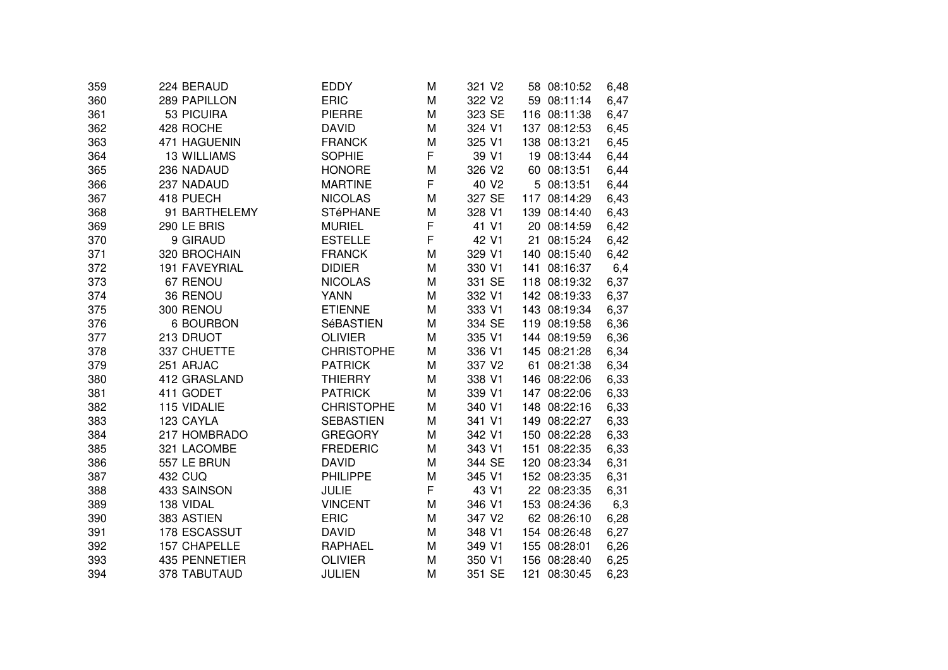| 359 | 224 BERAUD         | EDDY              | M | 321 V <sub>2</sub> | 58 08:10:52    | 6,48 |
|-----|--------------------|-------------------|---|--------------------|----------------|------|
| 360 | 289 PAPILLON       | <b>ERIC</b>       | M | 322 V2             | 59 08:11:14    | 6,47 |
| 361 | 53 PICUIRA         | <b>PIERRE</b>     | M | 323 SE             | 116 08:11:38   | 6,47 |
| 362 | 428 ROCHE          | <b>DAVID</b>      | M | 324 V1             | 137 08:12:53   | 6,45 |
| 363 | 471 HAGUENIN       | <b>FRANCK</b>     | M | 325 V1             | 138 08:13:21   | 6,45 |
| 364 | <b>13 WILLIAMS</b> | <b>SOPHIE</b>     | F | 39 V1              | 19 08:13:44    | 6,44 |
| 365 | 236 NADAUD         | <b>HONORE</b>     | M | 326 V2             | 60 08:13:51    | 6,44 |
| 366 | 237 NADAUD         | <b>MARTINE</b>    | F | 40 V <sub>2</sub>  | 5 08:13:51     | 6,44 |
| 367 | 418 PUECH          | <b>NICOLAS</b>    | M | 327 SE             | 117 08:14:29   | 6,43 |
| 368 | 91 BARTHELEMY      | <b>STéPHANE</b>   | M | 328 V1             | 139 08:14:40   | 6,43 |
| 369 | 290 LE BRIS        | <b>MURIEL</b>     | F | 41 V1              | 20 08:14:59    | 6,42 |
| 370 | 9 GIRAUD           | <b>ESTELLE</b>    | F | 42 V1              | 08:15:24<br>21 | 6,42 |
| 371 | 320 BROCHAIN       | <b>FRANCK</b>     | M | 329 V1             | 140 08:15:40   | 6,42 |
| 372 | 191 FAVEYRIAL      | <b>DIDIER</b>     | M | 330 V1             | 141 08:16:37   | 6,4  |
| 373 | 67 RENOU           | <b>NICOLAS</b>    | M | 331 SE             | 118 08:19:32   | 6,37 |
| 374 | 36 RENOU           | <b>YANN</b>       | M | 332 V1             | 142 08:19:33   | 6,37 |
| 375 | 300 RENOU          | <b>ETIENNE</b>    | M | 333 V1             | 143 08:19:34   | 6,37 |
| 376 | <b>6 BOURBON</b>   | SéBASTIEN         | M | 334 SE             | 119 08:19:58   | 6,36 |
| 377 | 213 DRUOT          | <b>OLIVIER</b>    | M | 335 V1             | 144 08:19:59   | 6,36 |
| 378 | 337 CHUETTE        | <b>CHRISTOPHE</b> | M | 336 V1             | 145 08:21:28   | 6,34 |
| 379 | 251 ARJAC          | <b>PATRICK</b>    | M | 337 V2             | 61<br>08:21:38 | 6,34 |
| 380 | 412 GRASLAND       | <b>THIERRY</b>    | M | 338 V1             | 146 08:22:06   | 6,33 |
| 381 | 411 GODET          | <b>PATRICK</b>    | M | 339 V1             | 147 08:22:06   | 6,33 |
| 382 | 115 VIDALIE        | <b>CHRISTOPHE</b> | M | 340 V1             | 148 08:22:16   | 6,33 |
| 383 | 123 CAYLA          | <b>SEBASTIEN</b>  | M | 341 V1             | 149 08:22:27   | 6,33 |
| 384 | 217 HOMBRADO       | <b>GREGORY</b>    | M | 342 V1             | 150 08:22:28   | 6,33 |
| 385 | 321 LACOMBE        | <b>FREDERIC</b>   | M | 343 V1             | 151 08:22:35   | 6,33 |
| 386 | 557 LE BRUN        | <b>DAVID</b>      | M | 344 SE             | 120 08:23:34   | 6,31 |
| 387 | <b>432 CUQ</b>     | <b>PHILIPPE</b>   | M | 345 V1             | 152 08:23:35   | 6,31 |
| 388 | 433 SAINSON        | <b>JULIE</b>      | F | 43 V1              | 22 08:23:35    | 6,31 |
| 389 | 138 VIDAL          | <b>VINCENT</b>    | M | 346 V1             | 153 08:24:36   | 6,3  |
| 390 | 383 ASTIEN         | <b>ERIC</b>       | M | 347 V2             | 62 08:26:10    | 6,28 |
| 391 | 178 ESCASSUT       | <b>DAVID</b>      | M | 348 V1             | 154 08:26:48   | 6,27 |
| 392 | 157 CHAPELLE       | <b>RAPHAEL</b>    | M | 349 V1             | 155 08:28:01   | 6,26 |
| 393 | 435 PENNETIER      | <b>OLIVIER</b>    | M | 350 V1             | 156 08:28:40   | 6,25 |
| 394 | 378 TABUTAUD       | <b>JULIEN</b>     | M | 351 SE             | 121 08:30:45   | 6,23 |
|     |                    |                   |   |                    |                |      |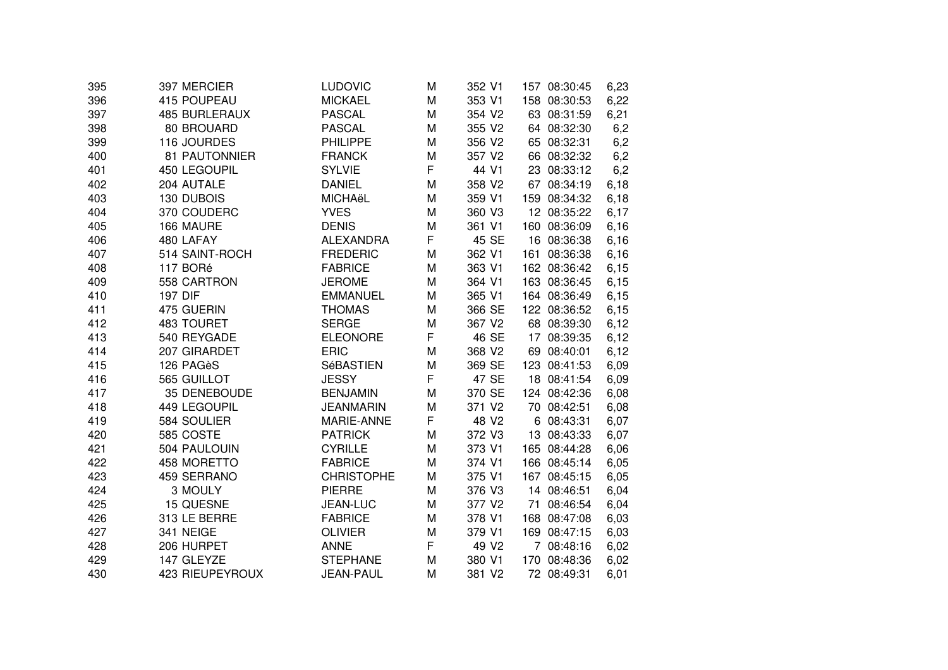| 395 | 397 MERCIER          | LUDOVIC           | M | 352 V1            |   | 157 08:30:45 | 6,23 |
|-----|----------------------|-------------------|---|-------------------|---|--------------|------|
| 396 | 415 POUPEAU          | <b>MICKAEL</b>    | M | 353 V1            |   | 158 08:30:53 | 6,22 |
| 397 | <b>485 BURLERAUX</b> | <b>PASCAL</b>     | M | 354 V2            |   | 63 08:31:59  | 6,21 |
| 398 | 80 BROUARD           | <b>PASCAL</b>     | M | 355 V2            |   | 64 08:32:30  | 6,2  |
| 399 | 116 JOURDES          | <b>PHILIPPE</b>   | M | 356 V2            |   | 65 08:32:31  | 6,2  |
| 400 | 81 PAUTONNIER        | <b>FRANCK</b>     | M | 357 V2            |   | 66 08:32:32  | 6,2  |
| 401 | 450 LEGOUPIL         | <b>SYLVIE</b>     | F | 44 V1             |   | 23 08:33:12  | 6,2  |
| 402 | 204 AUTALE           | <b>DANIEL</b>     | M | 358 V2            |   | 67 08:34:19  | 6,18 |
| 403 | 130 DUBOIS           | MICHAëL           | M | 359 V1            |   | 159 08:34:32 | 6,18 |
| 404 | 370 COUDERC          | <b>YVES</b>       | M | 360 V3            |   | 12 08:35:22  | 6,17 |
| 405 | 166 MAURE            | <b>DENIS</b>      | M | 361 V1            |   | 160 08:36:09 | 6,16 |
| 406 | 480 LAFAY            | <b>ALEXANDRA</b>  | F | 45 SE             |   | 16 08:36:38  | 6,16 |
| 407 | 514 SAINT-ROCH       | <b>FREDERIC</b>   | M | 362 V1            |   | 161 08:36:38 | 6,16 |
| 408 | 117 BORé             | <b>FABRICE</b>    | M | 363 V1            |   | 162 08:36:42 | 6,15 |
| 409 | 558 CARTRON          | <b>JEROME</b>     | M | 364 V1            |   | 163 08:36:45 | 6,15 |
| 410 | <b>197 DIF</b>       | <b>EMMANUEL</b>   | M | 365 V1            |   | 164 08:36:49 | 6,15 |
| 411 | 475 GUERIN           | <b>THOMAS</b>     | M | 366 SE            |   | 122 08:36:52 | 6,15 |
| 412 | 483 TOURET           | <b>SERGE</b>      | M | 367 V2            |   | 68 08:39:30  | 6,12 |
| 413 | 540 REYGADE          | <b>ELEONORE</b>   | F | 46 SE             |   | 17 08:39:35  | 6,12 |
| 414 | 207 GIRARDET         | <b>ERIC</b>       | M | 368 V2            |   | 69 08:40:01  | 6,12 |
| 415 | 126 PAGèS            | <b>SéBASTIEN</b>  | M | 369 SE            |   | 123 08:41:53 | 6,09 |
| 416 | 565 GUILLOT          | <b>JESSY</b>      | F | 47 SE             |   | 18 08:41:54  | 6,09 |
| 417 | 35 DENEBOUDE         | <b>BENJAMIN</b>   | M | 370 SE            |   | 124 08:42:36 | 6,08 |
| 418 | 449 LEGOUPIL         | <b>JEANMARIN</b>  | M | 371 V2            |   | 70 08:42:51  | 6,08 |
| 419 | 584 SOULIER          | MARIE-ANNE        | F | 48 V2             | 6 | 08:43:31     | 6,07 |
| 420 | 585 COSTE            | <b>PATRICK</b>    | M | 372 V3            |   | 13 08:43:33  | 6,07 |
| 421 | 504 PAULOUIN         | <b>CYRILLE</b>    | M | 373 V1            |   | 165 08:44:28 | 6,06 |
| 422 | 458 MORETTO          | <b>FABRICE</b>    | M | 374 V1            |   | 166 08:45:14 | 6,05 |
| 423 | 459 SERRANO          | <b>CHRISTOPHE</b> | M | 375 V1            |   | 167 08:45:15 | 6,05 |
| 424 | 3 MOULY              | <b>PIERRE</b>     | M | 376 V3            |   | 14 08:46:51  | 6,04 |
| 425 | 15 QUESNE            | JEAN-LUC          | M | 377 V2            |   | 71 08:46:54  | 6,04 |
| 426 | 313 LE BERRE         | <b>FABRICE</b>    | M | 378 V1            |   | 168 08:47:08 | 6,03 |
| 427 | 341 NEIGE            | <b>OLIVIER</b>    | M | 379 V1            |   | 169 08:47:15 | 6,03 |
| 428 | 206 HURPET           | <b>ANNE</b>       | F | 49 V <sub>2</sub> |   | 7 08:48:16   | 6,02 |
| 429 | 147 GLEYZE           | <b>STEPHANE</b>   | M | 380 V1            |   | 170 08:48:36 | 6,02 |
| 430 | 423 RIEUPEYROUX      | JEAN-PAUL         | M | 381 V2            |   | 72 08:49:31  | 6,01 |
|     |                      |                   |   |                   |   |              |      |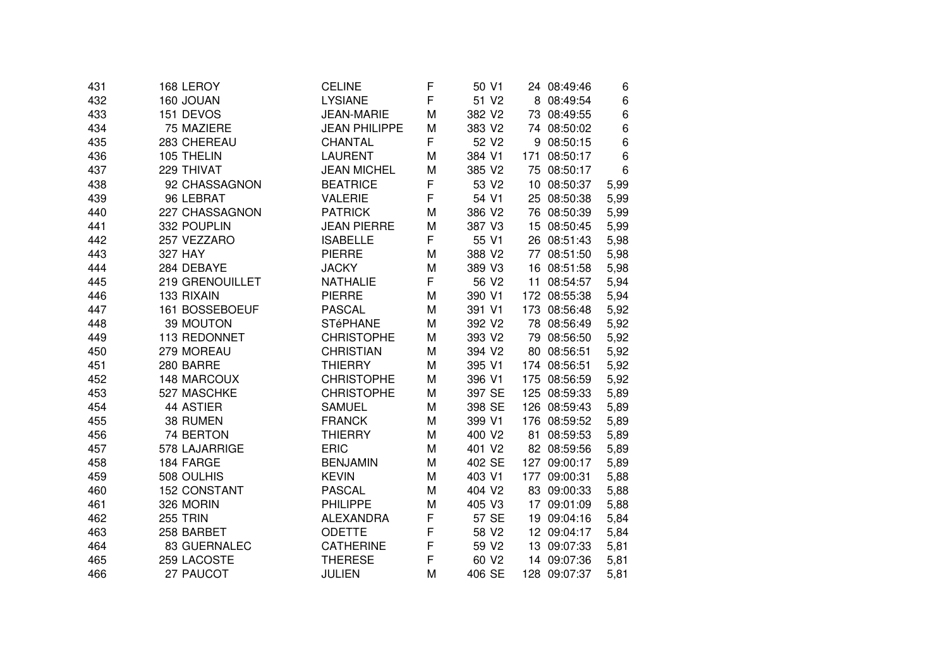| 431 | 168 LEROY           | <b>CELINE</b>        | F | 50 V1             | 24 08:49:46  | 6    |
|-----|---------------------|----------------------|---|-------------------|--------------|------|
| 432 | 160 JOUAN           | <b>LYSIANE</b>       | F | 51 V2             | 8 08:49:54   | 6    |
| 433 | 151 DEVOS           | <b>JEAN-MARIE</b>    | M | 382 V2            | 73 08:49:55  | 6    |
| 434 | 75 MAZIERE          | <b>JEAN PHILIPPE</b> | M | 383 V2            | 74 08:50:02  | 6    |
| 435 | 283 CHEREAU         | CHANTAL              | F | 52 V2             | 9 08:50:15   | 6    |
| 436 | 105 THELIN          | <b>LAURENT</b>       | M | 384 V1            | 171 08:50:17 | 6    |
| 437 | 229 THIVAT          | <b>JEAN MICHEL</b>   | M | 385 V2            | 75 08:50:17  | 6    |
| 438 | 92 CHASSAGNON       | <b>BEATRICE</b>      | F | 53 V2             | 10 08:50:37  | 5,99 |
| 439 | 96 LEBRAT           | <b>VALERIE</b>       | F | 54 V1             | 25 08:50:38  | 5,99 |
| 440 | 227 CHASSAGNON      | <b>PATRICK</b>       | M | 386 V2            | 76 08:50:39  | 5,99 |
| 441 | 332 POUPLIN         | <b>JEAN PIERRE</b>   | M | 387 V3            | 15 08:50:45  | 5,99 |
| 442 | 257 VEZZARO         | <b>ISABELLE</b>      | F | 55 V1             | 26 08:51:43  | 5,98 |
| 443 | 327 HAY             | <b>PIERRE</b>        | M | 388 V2            | 77 08:51:50  | 5,98 |
| 444 | 284 DEBAYE          | <b>JACKY</b>         | M | 389 V3            | 16 08:51:58  | 5,98 |
| 445 | 219 GRENOUILLET     | <b>NATHALIE</b>      | F | 56 V2             | 11 08:54:57  | 5,94 |
| 446 | 133 RIXAIN          | <b>PIERRE</b>        | M | 390 V1            | 172 08:55:38 | 5,94 |
| 447 | 161 BOSSEBOEUF      | <b>PASCAL</b>        | M | 391 V1            | 173 08:56:48 | 5,92 |
| 448 | 39 MOUTON           | <b>STéPHANE</b>      | M | 392 V2            | 78 08:56:49  | 5,92 |
| 449 | 113 REDONNET        | <b>CHRISTOPHE</b>    | M | 393 V2            | 79 08:56:50  | 5,92 |
| 450 | 279 MOREAU          | <b>CHRISTIAN</b>     | M | 394 V2            | 80 08:56:51  | 5,92 |
| 451 | 280 BARRE           | <b>THIERRY</b>       | M | 395 V1            | 174 08:56:51 | 5,92 |
| 452 | 148 MARCOUX         | <b>CHRISTOPHE</b>    | M | 396 V1            | 175 08:56:59 | 5,92 |
| 453 | 527 MASCHKE         | <b>CHRISTOPHE</b>    | M | 397 SE            | 125 08:59:33 | 5,89 |
| 454 | 44 ASTIER           | <b>SAMUEL</b>        | M | 398 SE            | 126 08:59:43 | 5,89 |
| 455 | 38 RUMEN            | <b>FRANCK</b>        | M | 399 V1            | 176 08:59:52 | 5,89 |
| 456 | 74 BERTON           | <b>THIERRY</b>       | M | 400 V2            | 81 08:59:53  | 5,89 |
| 457 | 578 LAJARRIGE       | <b>ERIC</b>          | M | 401 V2            | 82 08:59:56  | 5,89 |
| 458 | 184 FARGE           | <b>BENJAMIN</b>      | M | 402 SE            | 127 09:00:17 | 5,89 |
| 459 | 508 OULHIS          | <b>KEVIN</b>         | M | 403 V1            | 177 09:00:31 | 5,88 |
| 460 | <b>152 CONSTANT</b> | <b>PASCAL</b>        | M | 404 V2            | 83 09:00:33  | 5,88 |
| 461 | 326 MORIN           | <b>PHILIPPE</b>      | M | 405 V3            | 17 09:01:09  | 5,88 |
| 462 | <b>255 TRIN</b>     | <b>ALEXANDRA</b>     | F | 57 SE             | 19 09:04:16  | 5,84 |
| 463 | 258 BARBET          | <b>ODETTE</b>        | F | 58 V2             | 12 09:04:17  | 5,84 |
| 464 | 83 GUERNALEC        | <b>CATHERINE</b>     | F | 59 V <sub>2</sub> | 13 09:07:33  | 5,81 |
| 465 | 259 LACOSTE         | <b>THERESE</b>       | F | 60 V <sub>2</sub> | 14 09:07:36  | 5,81 |
| 466 | 27 PAUCOT           | <b>JULIEN</b>        | M | 406 SE            | 128 09:07:37 | 5,81 |
|     |                     |                      |   |                   |              |      |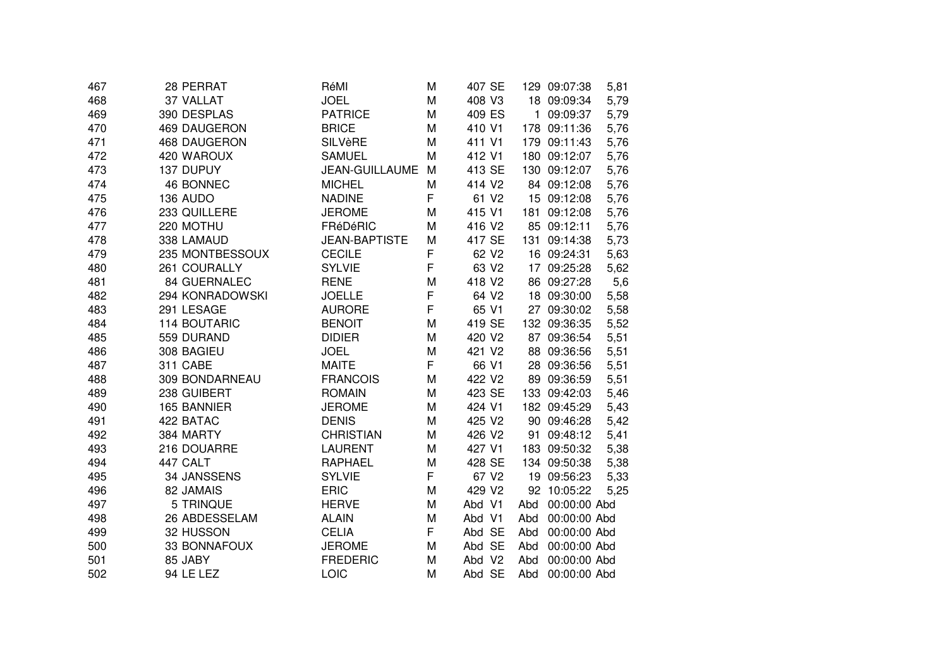| 467 | 28 PERRAT        | RéMI                 | Μ | 407 SE            |     | 129 09:07:38 | 5,81 |
|-----|------------------|----------------------|---|-------------------|-----|--------------|------|
| 468 | 37 VALLAT        | <b>JOEL</b>          | M | 408 V3            |     | 18 09:09:34  | 5,79 |
| 469 | 390 DESPLAS      | <b>PATRICE</b>       | M | 409 ES            |     | 1 09:09:37   | 5,79 |
| 470 | 469 DAUGERON     | <b>BRICE</b>         | M | 410 V1            |     | 178 09:11:36 | 5,76 |
| 471 | 468 DAUGERON     | <b>SILVèRE</b>       | M | 411 V1            |     | 179 09:11:43 | 5,76 |
| 472 | 420 WAROUX       | <b>SAMUEL</b>        | M | 412 V1            |     | 180 09:12:07 | 5,76 |
| 473 | 137 DUPUY        | JEAN-GUILLAUME       | M | 413 SE            |     | 130 09:12:07 | 5,76 |
| 474 | <b>46 BONNEC</b> | <b>MICHEL</b>        | M | 414 V2            |     | 84 09:12:08  | 5,76 |
| 475 | 136 AUDO         | <b>NADINE</b>        | F | 61 V2             |     | 15 09:12:08  | 5,76 |
| 476 | 233 QUILLERE     | <b>JEROME</b>        | M | 415 V1            |     | 181 09:12:08 | 5,76 |
| 477 | 220 MOTHU        | FRéDéRIC             | M | 416 V2            |     | 85 09:12:11  | 5,76 |
| 478 | 338 LAMAUD       | <b>JEAN-BAPTISTE</b> | M | 417 SE            |     | 131 09:14:38 | 5,73 |
| 479 | 235 MONTBESSOUX  | <b>CECILE</b>        | F | 62 V <sub>2</sub> |     | 16 09:24:31  | 5,63 |
| 480 | 261 COURALLY     | <b>SYLVIE</b>        | F | 63 V <sub>2</sub> |     | 17 09:25:28  | 5,62 |
| 481 | 84 GUERNALEC     | <b>RENE</b>          | M | 418 V2            |     | 86 09:27:28  | 5,6  |
| 482 | 294 KONRADOWSKI  | <b>JOELLE</b>        | F | 64 V2             |     | 18 09:30:00  | 5,58 |
| 483 | 291 LESAGE       | <b>AURORE</b>        | F | 65 V1             |     | 27 09:30:02  | 5,58 |
| 484 | 114 BOUTARIC     | <b>BENOIT</b>        | M | 419 SE            |     | 132 09:36:35 | 5,52 |
| 485 | 559 DURAND       | <b>DIDIER</b>        | M | 420 V2            |     | 87 09:36:54  | 5,51 |
| 486 | 308 BAGIEU       | <b>JOEL</b>          | M | 421 V2            |     | 88 09:36:56  | 5,51 |
| 487 | 311 CABE         | <b>MAITE</b>         | F | 66 V1             |     | 28 09:36:56  | 5,51 |
| 488 | 309 BONDARNEAU   | <b>FRANCOIS</b>      | M | 422 V2            |     | 89 09:36:59  | 5,51 |
| 489 | 238 GUIBERT      | <b>ROMAIN</b>        | M | 423 SE            |     | 133 09:42:03 | 5,46 |
| 490 | 165 BANNIER      | <b>JEROME</b>        | M | 424 V1            |     | 182 09:45:29 | 5,43 |
| 491 | 422 BATAC        | <b>DENIS</b>         | M | 425 V2            |     | 90 09:46:28  | 5,42 |
| 492 | 384 MARTY        | <b>CHRISTIAN</b>     | M | 426 V2            |     | 91 09:48:12  | 5,41 |
| 493 | 216 DOUARRE      | <b>LAURENT</b>       | M | 427 V1            |     | 183 09:50:32 | 5,38 |
| 494 | 447 CALT         | <b>RAPHAEL</b>       | M | 428 SE            |     | 134 09:50:38 | 5,38 |
| 495 | 34 JANSSENS      | <b>SYLVIE</b>        | F | 67 V2             |     | 19 09:56:23  | 5,33 |
| 496 | 82 JAMAIS        | <b>ERIC</b>          | M | 429 V2            |     | 92 10:05:22  | 5,25 |
| 497 | 5 TRINQUE        | <b>HERVE</b>         | M | Abd V1            | Abd | 00:00:00 Abd |      |
| 498 | 26 ABDESSELAM    | <b>ALAIN</b>         | M | Abd V1            | Abd | 00:00:00 Abd |      |
| 499 | 32 HUSSON        | <b>CELIA</b>         | F | Abd SE            | Abd | 00:00:00 Abd |      |
| 500 | 33 BONNAFOUX     | <b>JEROME</b>        | M | Abd SE            | Abd | 00:00:00 Abd |      |
| 501 | 85 JABY          | <b>FREDERIC</b>      | M | Abd V2            | Abd | 00:00:00 Abd |      |
| 502 | 94 LE LEZ        | LOIC                 | M | Abd SE            | Abd | 00:00:00 Abd |      |
|     |                  |                      |   |                   |     |              |      |